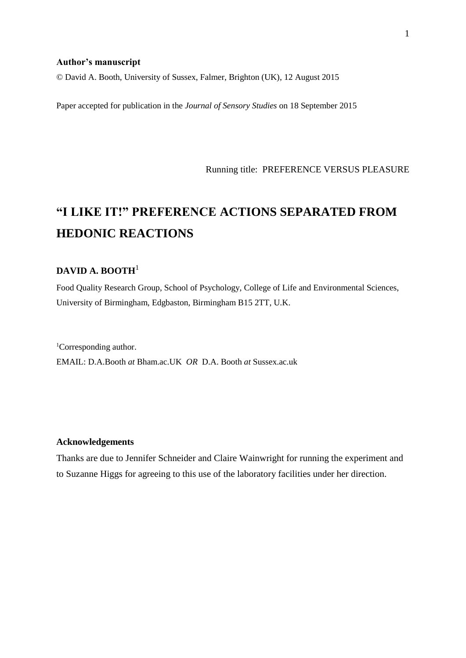### **Author's manuscript**

© David A. Booth, University of Sussex, Falmer, Brighton (UK), 12 August 2015

Paper accepted for publication in the *Journal of Sensory Studies* on 18 September 2015

Running title: PREFERENCE VERSUS PLEASURE

# **"I LIKE IT!" PREFERENCE ACTIONS SEPARATED FROM HEDONIC REACTIONS**

## **DAVID A. BOOTH**<sup>1</sup>

Food Quality Research Group, School of Psychology, College of Life and Environmental Sciences, University of Birmingham, Edgbaston, Birmingham B15 2TT, U.K.

<sup>1</sup>Corresponding author. EMAIL: D.A.Booth *at* [Bham.ac.UK](mailto:D.A.Booth@Bhasm.ac.UK) *OR* D.A. Booth *at* Sussex.ac.uk

## **Acknowledgements**

Thanks are due to Jennifer Schneider and Claire Wainwright for running the experiment and to Suzanne Higgs for agreeing to this use of the laboratory facilities under her direction.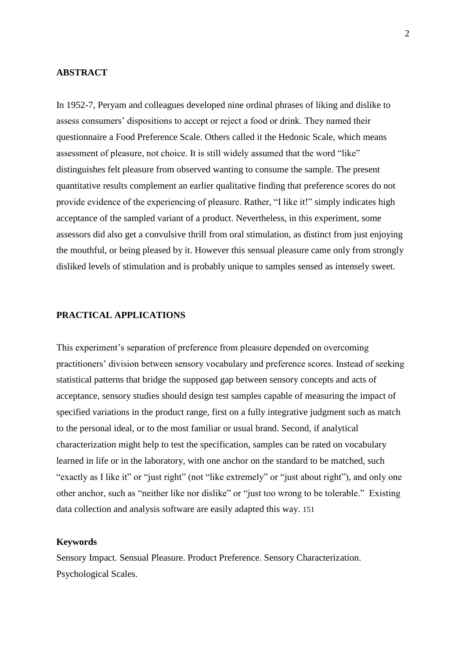### **ABSTRACT**

In 1952-7, Peryam and colleagues developed nine ordinal phrases of liking and dislike to assess consumers' dispositions to accept or reject a food or drink. They named their questionnaire a Food Preference Scale. Others called it the Hedonic Scale, which means assessment of pleasure, not choice. It is still widely assumed that the word "like" distinguishes felt pleasure from observed wanting to consume the sample. The present quantitative results complement an earlier qualitative finding that preference scores do not provide evidence of the experiencing of pleasure. Rather, "I like it!" simply indicates high acceptance of the sampled variant of a product. Nevertheless, in this experiment, some assessors did also get a convulsive thrill from oral stimulation, as distinct from just enjoying the mouthful, or being pleased by it. However this sensual pleasure came only from strongly disliked levels of stimulation and is probably unique to samples sensed as intensely sweet.

## **PRACTICAL APPLICATIONS**

This experiment's separation of preference from pleasure depended on overcoming practitioners' division between sensory vocabulary and preference scores. Instead of seeking statistical patterns that bridge the supposed gap between sensory concepts and acts of acceptance, sensory studies should design test samples capable of measuring the impact of specified variations in the product range, first on a fully integrative judgment such as match to the personal ideal, or to the most familiar or usual brand. Second, if analytical characterization might help to test the specification, samples can be rated on vocabulary learned in life or in the laboratory, with one anchor on the standard to be matched, such "exactly as I like it" or "just right" (not "like extremely" or "just about right"), and only one other anchor, such as "neither like nor dislike" or "just too wrong to be tolerable." Existing data collection and analysis software are easily adapted this way. 151

#### **Keywords**

Sensory Impact. Sensual Pleasure. Product Preference. Sensory Characterization. Psychological Scales.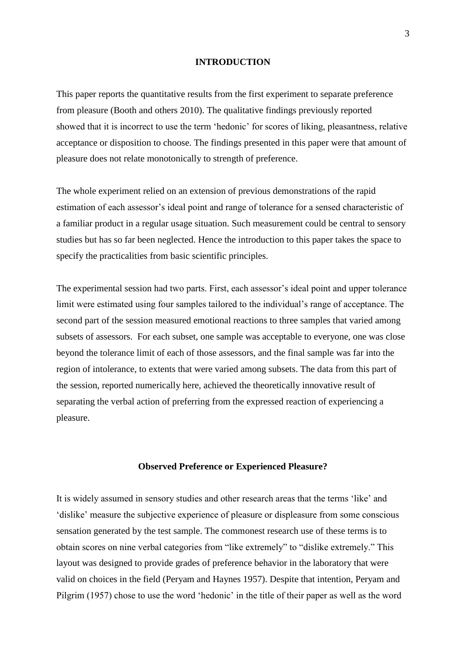#### **INTRODUCTION**

This paper reports the quantitative results from the first experiment to separate preference from pleasure (Booth and others 2010). The qualitative findings previously reported showed that it is incorrect to use the term 'hedonic' for scores of liking, pleasantness, relative acceptance or disposition to choose. The findings presented in this paper were that amount of pleasure does not relate monotonically to strength of preference.

The whole experiment relied on an extension of previous demonstrations of the rapid estimation of each assessor's ideal point and range of tolerance for a sensed characteristic of a familiar product in a regular usage situation. Such measurement could be central to sensory studies but has so far been neglected. Hence the introduction to this paper takes the space to specify the practicalities from basic scientific principles.

The experimental session had two parts. First, each assessor's ideal point and upper tolerance limit were estimated using four samples tailored to the individual's range of acceptance. The second part of the session measured emotional reactions to three samples that varied among subsets of assessors. For each subset, one sample was acceptable to everyone, one was close beyond the tolerance limit of each of those assessors, and the final sample was far into the region of intolerance, to extents that were varied among subsets. The data from this part of the session, reported numerically here, achieved the theoretically innovative result of separating the verbal action of preferring from the expressed reaction of experiencing a pleasure.

## **Observed Preference or Experienced Pleasure?**

It is widely assumed in sensory studies and other research areas that the terms 'like' and 'dislike' measure the subjective experience of pleasure or displeasure from some conscious sensation generated by the test sample. The commonest research use of these terms is to obtain scores on nine verbal categories from "like extremely" to "dislike extremely." This layout was designed to provide grades of preference behavior in the laboratory that were valid on choices in the field (Peryam and Haynes 1957). Despite that intention, Peryam and Pilgrim (1957) chose to use the word 'hedonic' in the title of their paper as well as the word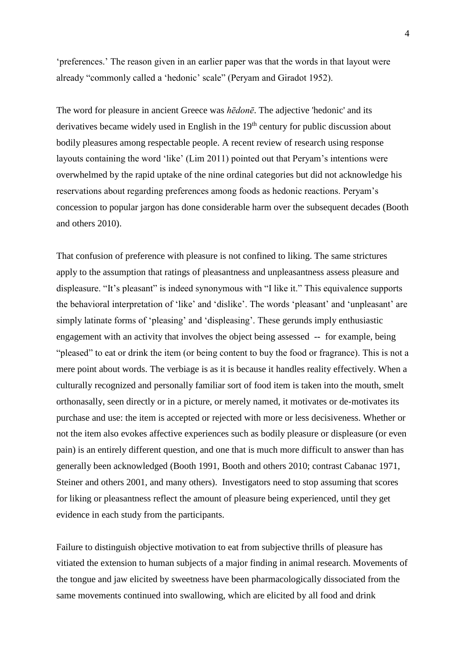'preferences.' The reason given in an earlier paper was that the words in that layout were already "commonly called a 'hedonic' scale" (Peryam and Giradot 1952).

The word for pleasure in ancient Greece was *hēdonē*. The adjective 'hedonic' and its derivatives became widely used in English in the 19<sup>th</sup> century for public discussion about bodily pleasures among respectable people. A recent review of research using response layouts containing the word 'like' (Lim 2011) pointed out that Peryam's intentions were overwhelmed by the rapid uptake of the nine ordinal categories but did not acknowledge his reservations about regarding preferences among foods as hedonic reactions. Peryam's concession to popular jargon has done considerable harm over the subsequent decades (Booth and others 2010).

That confusion of preference with pleasure is not confined to liking. The same strictures apply to the assumption that ratings of pleasantness and unpleasantness assess pleasure and displeasure. "It's pleasant" is indeed synonymous with "I like it." This equivalence supports the behavioral interpretation of 'like' and 'dislike'. The words 'pleasant' and 'unpleasant' are simply latinate forms of 'pleasing' and 'displeasing'. These gerunds imply enthusiastic engagement with an activity that involves the object being assessed -- for example, being "pleased" to eat or drink the item (or being content to buy the food or fragrance). This is not a mere point about words. The verbiage is as it is because it handles reality effectively. When a culturally recognized and personally familiar sort of food item is taken into the mouth, smelt orthonasally, seen directly or in a picture, or merely named, it motivates or de-motivates its purchase and use: the item is accepted or rejected with more or less decisiveness. Whether or not the item also evokes affective experiences such as bodily pleasure or displeasure (or even pain) is an entirely different question, and one that is much more difficult to answer than has generally been acknowledged (Booth 1991, Booth and others 2010; contrast Cabanac 1971, Steiner and others 2001, and many others). Investigators need to stop assuming that scores for liking or pleasantness reflect the amount of pleasure being experienced, until they get evidence in each study from the participants.

Failure to distinguish objective motivation to eat from subjective thrills of pleasure has vitiated the extension to human subjects of a major finding in animal research. Movements of the tongue and jaw elicited by sweetness have been pharmacologically dissociated from the same movements continued into swallowing, which are elicited by all food and drink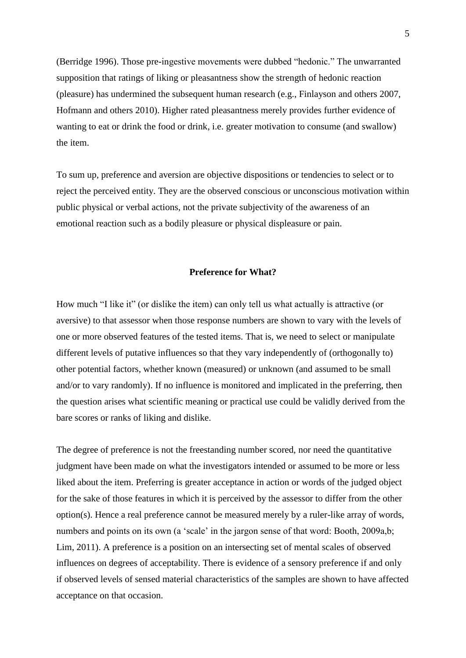(Berridge 1996). Those pre-ingestive movements were dubbed "hedonic." The unwarranted supposition that ratings of liking or pleasantness show the strength of hedonic reaction (pleasure) has undermined the subsequent human research (e.g., Finlayson and others 2007, Hofmann and others 2010). Higher rated pleasantness merely provides further evidence of wanting to eat or drink the food or drink, i.e. greater motivation to consume (and swallow) the item.

To sum up, preference and aversion are objective dispositions or tendencies to select or to reject the perceived entity. They are the observed conscious or unconscious motivation within public physical or verbal actions, not the private subjectivity of the awareness of an emotional reaction such as a bodily pleasure or physical displeasure or pain.

## **Preference for What?**

How much "I like it" (or dislike the item) can only tell us what actually is attractive (or aversive) to that assessor when those response numbers are shown to vary with the levels of one or more observed features of the tested items. That is, we need to select or manipulate different levels of putative influences so that they vary independently of (orthogonally to) other potential factors, whether known (measured) or unknown (and assumed to be small and/or to vary randomly). If no influence is monitored and implicated in the preferring, then the question arises what scientific meaning or practical use could be validly derived from the bare scores or ranks of liking and dislike.

The degree of preference is not the freestanding number scored, nor need the quantitative judgment have been made on what the investigators intended or assumed to be more or less liked about the item. Preferring is greater acceptance in action or words of the judged object for the sake of those features in which it is perceived by the assessor to differ from the other option(s). Hence a real preference cannot be measured merely by a ruler-like array of words, numbers and points on its own (a 'scale' in the jargon sense of that word: Booth, 2009a,b; Lim, 2011). A preference is a position on an intersecting set of mental scales of observed influences on degrees of acceptability. There is evidence of a sensory preference if and only if observed levels of sensed material characteristics of the samples are shown to have affected acceptance on that occasion.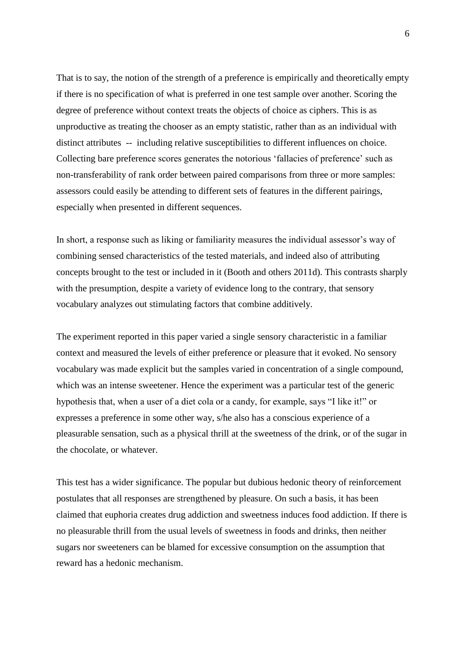That is to say, the notion of the strength of a preference is empirically and theoretically empty if there is no specification of what is preferred in one test sample over another. Scoring the degree of preference without context treats the objects of choice as ciphers. This is as unproductive as treating the chooser as an empty statistic, rather than as an individual with distinct attributes -- including relative susceptibilities to different influences on choice. Collecting bare preference scores generates the notorious 'fallacies of preference' such as non-transferability of rank order between paired comparisons from three or more samples: assessors could easily be attending to different sets of features in the different pairings, especially when presented in different sequences.

In short, a response such as liking or familiarity measures the individual assessor's way of combining sensed characteristics of the tested materials, and indeed also of attributing concepts brought to the test or included in it (Booth and others 2011d). This contrasts sharply with the presumption, despite a variety of evidence long to the contrary, that sensory vocabulary analyzes out stimulating factors that combine additively.

The experiment reported in this paper varied a single sensory characteristic in a familiar context and measured the levels of either preference or pleasure that it evoked. No sensory vocabulary was made explicit but the samples varied in concentration of a single compound, which was an intense sweetener. Hence the experiment was a particular test of the generic hypothesis that, when a user of a diet cola or a candy, for example, says "I like it!" or expresses a preference in some other way, s/he also has a conscious experience of a pleasurable sensation, such as a physical thrill at the sweetness of the drink, or of the sugar in the chocolate, or whatever.

This test has a wider significance. The popular but dubious hedonic theory of reinforcement postulates that all responses are strengthened by pleasure. On such a basis, it has been claimed that euphoria creates drug addiction and sweetness induces food addiction. If there is no pleasurable thrill from the usual levels of sweetness in foods and drinks, then neither sugars nor sweeteners can be blamed for excessive consumption on the assumption that reward has a hedonic mechanism.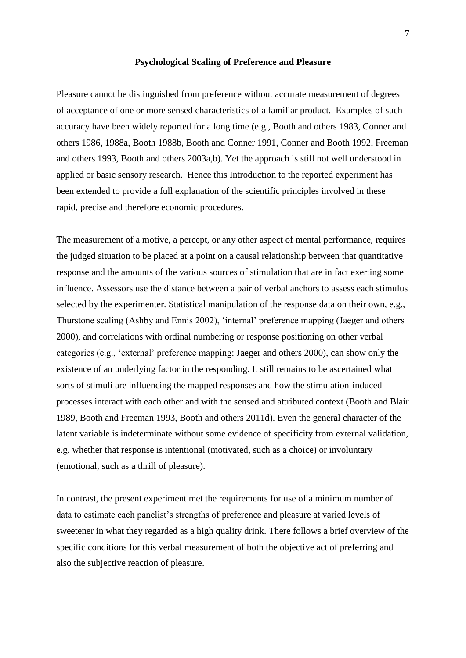#### **Psychological Scaling of Preference and Pleasure**

Pleasure cannot be distinguished from preference without accurate measurement of degrees of acceptance of one or more sensed characteristics of a familiar product. Examples of such accuracy have been widely reported for a long time (e.g., Booth and others 1983, Conner and others 1986, 1988a, Booth 1988b, Booth and Conner 1991, Conner and Booth 1992, Freeman and others 1993, Booth and others 2003a,b). Yet the approach is still not well understood in applied or basic sensory research. Hence this Introduction to the reported experiment has been extended to provide a full explanation of the scientific principles involved in these rapid, precise and therefore economic procedures.

The measurement of a motive, a percept, or any other aspect of mental performance, requires the judged situation to be placed at a point on a causal relationship between that quantitative response and the amounts of the various sources of stimulation that are in fact exerting some influence. Assessors use the distance between a pair of verbal anchors to assess each stimulus selected by the experimenter. Statistical manipulation of the response data on their own, e.g., Thurstone scaling (Ashby and Ennis 2002), 'internal' preference mapping (Jaeger and others 2000), and correlations with ordinal numbering or response positioning on other verbal categories (e.g., 'external' preference mapping: Jaeger and others 2000), can show only the existence of an underlying factor in the responding. It still remains to be ascertained what sorts of stimuli are influencing the mapped responses and how the stimulation-induced processes interact with each other and with the sensed and attributed context (Booth and Blair 1989, Booth and Freeman 1993, Booth and others 2011d). Even the general character of the latent variable is indeterminate without some evidence of specificity from external validation, e.g. whether that response is intentional (motivated, such as a choice) or involuntary (emotional, such as a thrill of pleasure).

In contrast, the present experiment met the requirements for use of a minimum number of data to estimate each panelist's strengths of preference and pleasure at varied levels of sweetener in what they regarded as a high quality drink. There follows a brief overview of the specific conditions for this verbal measurement of both the objective act of preferring and also the subjective reaction of pleasure.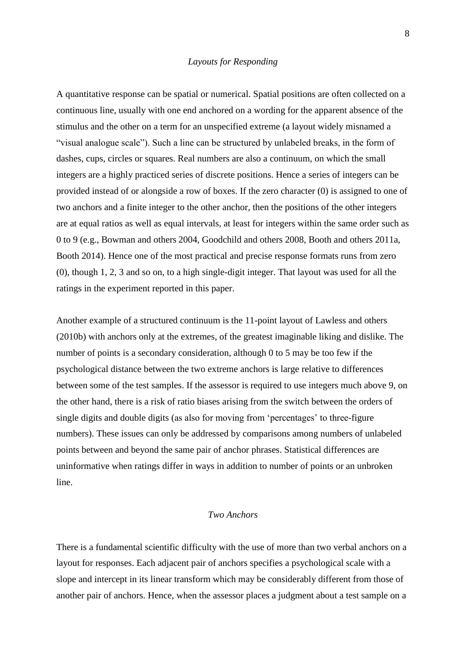## *Layouts for Responding*

A quantitative response can be spatial or numerical. Spatial positions are often collected on a continuous line, usually with one end anchored on a wording for the apparent absence of the stimulus and the other on a term for an unspecified extreme (a layout widely misnamed a "visual analogue scale"). Such a line can be structured by unlabeled breaks, in the form of dashes, cups, circles or squares. Real numbers are also a continuum, on which the small integers are a highly practiced series of discrete positions. Hence a series of integers can be provided instead of or alongside a row of boxes. If the zero character (0) is assigned to one of two anchors and a finite integer to the other anchor, then the positions of the other integers are at equal ratios as well as equal intervals, at least for integers within the same order such as 0 to 9 (e.g., Bowman and others 2004, Goodchild and others 2008, Booth and others 2011a, Booth 2014). Hence one of the most practical and precise response formats runs from zero (0), though 1, 2, 3 and so on, to a high single-digit integer. That layout was used for all the ratings in the experiment reported in this paper.

Another example of a structured continuum is the 11-point layout of Lawless and others (2010b) with anchors only at the extremes, of the greatest imaginable liking and dislike. The number of points is a secondary consideration, although 0 to 5 may be too few if the psychological distance between the two extreme anchors is large relative to differences between some of the test samples. If the assessor is required to use integers much above 9, on the other hand, there is a risk of ratio biases arising from the switch between the orders of single digits and double digits (as also for moving from 'percentages' to three-figure numbers). These issues can only be addressed by comparisons among numbers of unlabeled points between and beyond the same pair of anchor phrases. Statistical differences are uninformative when ratings differ in ways in addition to number of points or an unbroken line.

## *Two Anchors*

There is a fundamental scientific difficulty with the use of more than two verbal anchors on a layout for responses. Each adjacent pair of anchors specifies a psychological scale with a slope and intercept in its linear transform which may be considerably different from those of another pair of anchors. Hence, when the assessor places a judgment about a test sample on a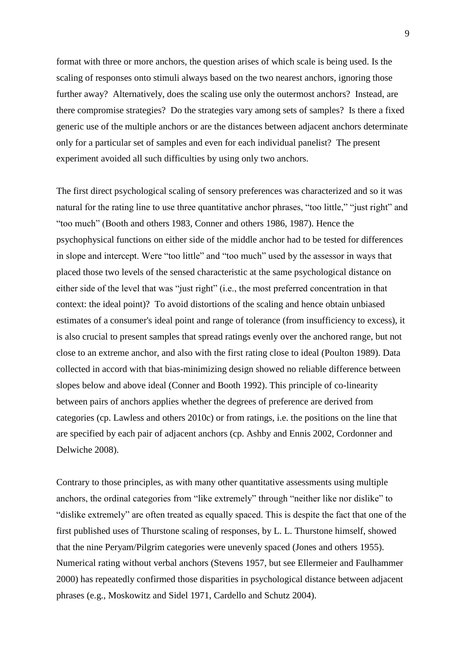format with three or more anchors, the question arises of which scale is being used. Is the scaling of responses onto stimuli always based on the two nearest anchors, ignoring those further away? Alternatively, does the scaling use only the outermost anchors? Instead, are there compromise strategies? Do the strategies vary among sets of samples? Is there a fixed generic use of the multiple anchors or are the distances between adjacent anchors determinate only for a particular set of samples and even for each individual panelist? The present experiment avoided all such difficulties by using only two anchors.

The first direct psychological scaling of sensory preferences was characterized and so it was natural for the rating line to use three quantitative anchor phrases, "too little," "just right" and "too much" (Booth and others 1983, Conner and others 1986, 1987). Hence the psychophysical functions on either side of the middle anchor had to be tested for differences in slope and intercept. Were "too little" and "too much" used by the assessor in ways that placed those two levels of the sensed characteristic at the same psychological distance on either side of the level that was "just right" (i.e., the most preferred concentration in that context: the ideal point)? To avoid distortions of the scaling and hence obtain unbiased estimates of a consumer's ideal point and range of tolerance (from insufficiency to excess), it is also crucial to present samples that spread ratings evenly over the anchored range, but not close to an extreme anchor, and also with the first rating close to ideal (Poulton 1989). Data collected in accord with that bias-minimizing design showed no reliable difference between slopes below and above ideal (Conner and Booth 1992). This principle of co-linearity between pairs of anchors applies whether the degrees of preference are derived from categories (cp. Lawless and others 2010c) or from ratings, i.e. the positions on the line that are specified by each pair of adjacent anchors (cp. Ashby and Ennis 2002, Cordonner and Delwiche 2008).

Contrary to those principles, as with many other quantitative assessments using multiple anchors, the ordinal categories from "like extremely" through "neither like nor dislike" to "dislike extremely" are often treated as equally spaced. This is despite the fact that one of the first published uses of Thurstone scaling of responses, by L. L. Thurstone himself, showed that the nine Peryam/Pilgrim categories were unevenly spaced (Jones and others 1955). Numerical rating without verbal anchors (Stevens 1957, but see Ellermeier and Faulhammer 2000) has repeatedly confirmed those disparities in psychological distance between adjacent phrases (e.g., Moskowitz and Sidel 1971, Cardello and Schutz 2004).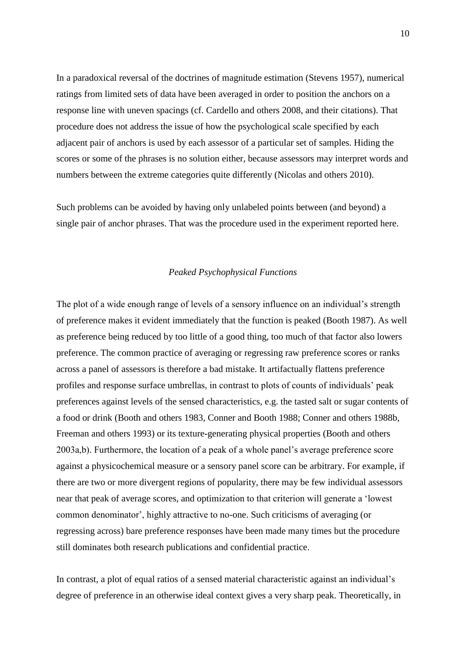In a paradoxical reversal of the doctrines of magnitude estimation (Stevens 1957), numerical ratings from limited sets of data have been averaged in order to position the anchors on a response line with uneven spacings (cf. Cardello and others 2008, and their citations). That procedure does not address the issue of how the psychological scale specified by each adjacent pair of anchors is used by each assessor of a particular set of samples. Hiding the scores or some of the phrases is no solution either, because assessors may interpret words and numbers between the extreme categories quite differently (Nicolas and others 2010).

Such problems can be avoided by having only unlabeled points between (and beyond) a single pair of anchor phrases. That was the procedure used in the experiment reported here.

## *Peaked Psychophysical Functions*

The plot of a wide enough range of levels of a sensory influence on an individual's strength of preference makes it evident immediately that the function is peaked (Booth 1987). As well as preference being reduced by too little of a good thing, too much of that factor also lowers preference. The common practice of averaging or regressing raw preference scores or ranks across a panel of assessors is therefore a bad mistake. It artifactually flattens preference profiles and response surface umbrellas, in contrast to plots of counts of individuals' peak preferences against levels of the sensed characteristics, e.g. the tasted salt or sugar contents of a food or drink (Booth and others 1983, Conner and Booth 1988; Conner and others 1988b, Freeman and others 1993) or its texture-generating physical properties (Booth and others 2003a,b). Furthermore, the location of a peak of a whole panel's average preference score against a physicochemical measure or a sensory panel score can be arbitrary. For example, if there are two or more divergent regions of popularity, there may be few individual assessors near that peak of average scores, and optimization to that criterion will generate a 'lowest common denominator', highly attractive to no-one. Such criticisms of averaging (or regressing across) bare preference responses have been made many times but the procedure still dominates both research publications and confidential practice.

In contrast, a plot of equal ratios of a sensed material characteristic against an individual's degree of preference in an otherwise ideal context gives a very sharp peak. Theoretically, in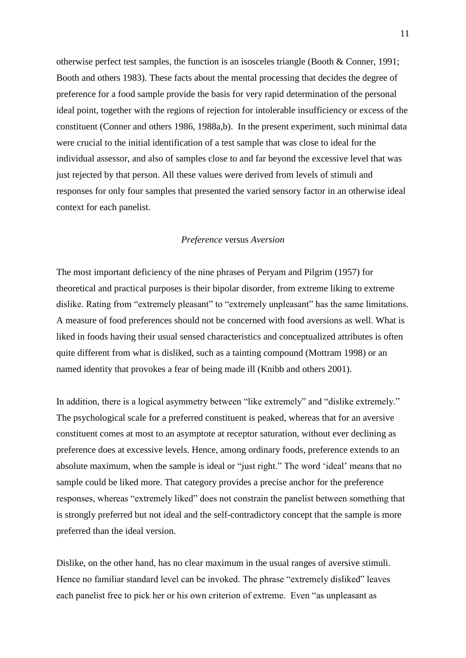otherwise perfect test samples, the function is an isosceles triangle (Booth & Conner, 1991; Booth and others 1983). These facts about the mental processing that decides the degree of preference for a food sample provide the basis for very rapid determination of the personal ideal point, together with the regions of rejection for intolerable insufficiency or excess of the constituent (Conner and others 1986, 1988a,b). In the present experiment, such minimal data were crucial to the initial identification of a test sample that was close to ideal for the individual assessor, and also of samples close to and far beyond the excessive level that was just rejected by that person. All these values were derived from levels of stimuli and responses for only four samples that presented the varied sensory factor in an otherwise ideal context for each panelist.

#### *Preference* versus *Aversion*

The most important deficiency of the nine phrases of Peryam and Pilgrim (1957) for theoretical and practical purposes is their bipolar disorder, from extreme liking to extreme dislike. Rating from "extremely pleasant" to "extremely unpleasant" has the same limitations. A measure of food preferences should not be concerned with food aversions as well. What is liked in foods having their usual sensed characteristics and conceptualized attributes is often quite different from what is disliked, such as a tainting compound (Mottram 1998) or an named identity that provokes a fear of being made ill (Knibb and others 2001).

In addition, there is a logical asymmetry between "like extremely" and "dislike extremely." The psychological scale for a preferred constituent is peaked, whereas that for an aversive constituent comes at most to an asymptote at receptor saturation, without ever declining as preference does at excessive levels. Hence, among ordinary foods, preference extends to an absolute maximum, when the sample is ideal or "just right." The word 'ideal' means that no sample could be liked more. That category provides a precise anchor for the preference responses, whereas "extremely liked" does not constrain the panelist between something that is strongly preferred but not ideal and the self-contradictory concept that the sample is more preferred than the ideal version.

Dislike, on the other hand, has no clear maximum in the usual ranges of aversive stimuli. Hence no familiar standard level can be invoked. The phrase "extremely disliked" leaves each panelist free to pick her or his own criterion of extreme. Even "as unpleasant as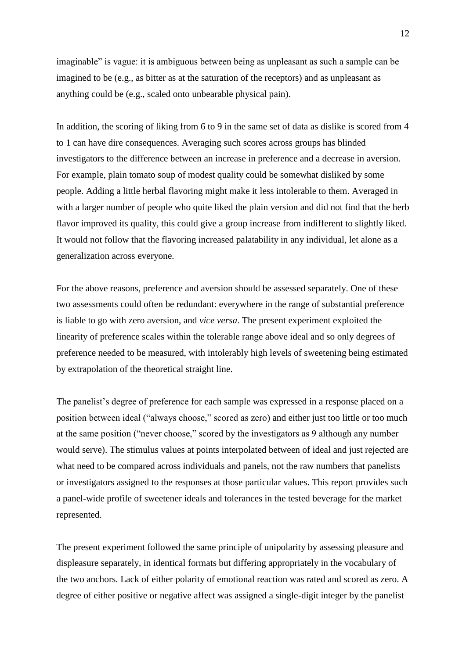imaginable" is vague: it is ambiguous between being as unpleasant as such a sample can be imagined to be (e.g., as bitter as at the saturation of the receptors) and as unpleasant as anything could be (e.g., scaled onto unbearable physical pain).

In addition, the scoring of liking from 6 to 9 in the same set of data as dislike is scored from 4 to 1 can have dire consequences. Averaging such scores across groups has blinded investigators to the difference between an increase in preference and a decrease in aversion. For example, plain tomato soup of modest quality could be somewhat disliked by some people. Adding a little herbal flavoring might make it less intolerable to them. Averaged in with a larger number of people who quite liked the plain version and did not find that the herb flavor improved its quality, this could give a group increase from indifferent to slightly liked. It would not follow that the flavoring increased palatability in any individual, let alone as a generalization across everyone.

For the above reasons, preference and aversion should be assessed separately. One of these two assessments could often be redundant: everywhere in the range of substantial preference is liable to go with zero aversion, and *vice versa*. The present experiment exploited the linearity of preference scales within the tolerable range above ideal and so only degrees of preference needed to be measured, with intolerably high levels of sweetening being estimated by extrapolation of the theoretical straight line.

The panelist's degree of preference for each sample was expressed in a response placed on a position between ideal ("always choose," scored as zero) and either just too little or too much at the same position ("never choose," scored by the investigators as 9 although any number would serve). The stimulus values at points interpolated between of ideal and just rejected are what need to be compared across individuals and panels, not the raw numbers that panelists or investigators assigned to the responses at those particular values. This report provides such a panel-wide profile of sweetener ideals and tolerances in the tested beverage for the market represented.

The present experiment followed the same principle of unipolarity by assessing pleasure and displeasure separately, in identical formats but differing appropriately in the vocabulary of the two anchors. Lack of either polarity of emotional reaction was rated and scored as zero. A degree of either positive or negative affect was assigned a single-digit integer by the panelist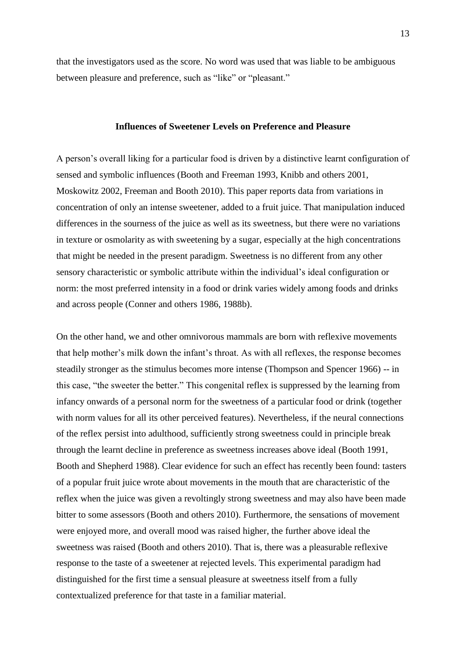that the investigators used as the score. No word was used that was liable to be ambiguous between pleasure and preference, such as "like" or "pleasant."

## **Influences of Sweetener Levels on Preference and Pleasure**

A person's overall liking for a particular food is driven by a distinctive learnt configuration of sensed and symbolic influences (Booth and Freeman 1993, Knibb and others 2001, Moskowitz 2002, Freeman and Booth 2010). This paper reports data from variations in concentration of only an intense sweetener, added to a fruit juice. That manipulation induced differences in the sourness of the juice as well as its sweetness, but there were no variations in texture or osmolarity as with sweetening by a sugar, especially at the high concentrations that might be needed in the present paradigm. Sweetness is no different from any other sensory characteristic or symbolic attribute within the individual's ideal configuration or norm: the most preferred intensity in a food or drink varies widely among foods and drinks and across people (Conner and others 1986, 1988b).

On the other hand, we and other omnivorous mammals are born with reflexive movements that help mother's milk down the infant's throat. As with all reflexes, the response becomes steadily stronger as the stimulus becomes more intense (Thompson and Spencer 1966) -- in this case, "the sweeter the better." This congenital reflex is suppressed by the learning from infancy onwards of a personal norm for the sweetness of a particular food or drink (together with norm values for all its other perceived features). Nevertheless, if the neural connections of the reflex persist into adulthood, sufficiently strong sweetness could in principle break through the learnt decline in preference as sweetness increases above ideal (Booth 1991, Booth and Shepherd 1988). Clear evidence for such an effect has recently been found: tasters of a popular fruit juice wrote about movements in the mouth that are characteristic of the reflex when the juice was given a revoltingly strong sweetness and may also have been made bitter to some assessors (Booth and others 2010). Furthermore, the sensations of movement were enjoyed more, and overall mood was raised higher, the further above ideal the sweetness was raised (Booth and others 2010). That is, there was a pleasurable reflexive response to the taste of a sweetener at rejected levels. This experimental paradigm had distinguished for the first time a sensual pleasure at sweetness itself from a fully contextualized preference for that taste in a familiar material.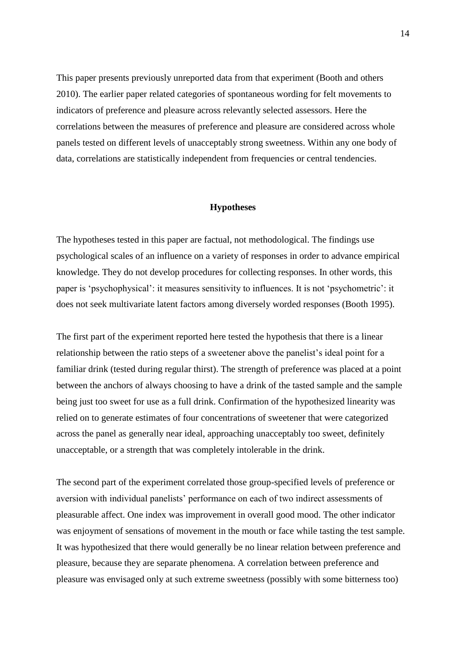This paper presents previously unreported data from that experiment (Booth and others 2010). The earlier paper related categories of spontaneous wording for felt movements to indicators of preference and pleasure across relevantly selected assessors. Here the correlations between the measures of preference and pleasure are considered across whole panels tested on different levels of unacceptably strong sweetness. Within any one body of data, correlations are statistically independent from frequencies or central tendencies.

#### **Hypotheses**

The hypotheses tested in this paper are factual, not methodological. The findings use psychological scales of an influence on a variety of responses in order to advance empirical knowledge. They do not develop procedures for collecting responses. In other words, this paper is 'psychophysical': it measures sensitivity to influences. It is not 'psychometric': it does not seek multivariate latent factors among diversely worded responses (Booth 1995).

The first part of the experiment reported here tested the hypothesis that there is a linear relationship between the ratio steps of a sweetener above the panelist's ideal point for a familiar drink (tested during regular thirst). The strength of preference was placed at a point between the anchors of always choosing to have a drink of the tasted sample and the sample being just too sweet for use as a full drink. Confirmation of the hypothesized linearity was relied on to generate estimates of four concentrations of sweetener that were categorized across the panel as generally near ideal, approaching unacceptably too sweet, definitely unacceptable, or a strength that was completely intolerable in the drink.

The second part of the experiment correlated those group-specified levels of preference or aversion with individual panelists' performance on each of two indirect assessments of pleasurable affect. One index was improvement in overall good mood. The other indicator was enjoyment of sensations of movement in the mouth or face while tasting the test sample. It was hypothesized that there would generally be no linear relation between preference and pleasure, because they are separate phenomena. A correlation between preference and pleasure was envisaged only at such extreme sweetness (possibly with some bitterness too)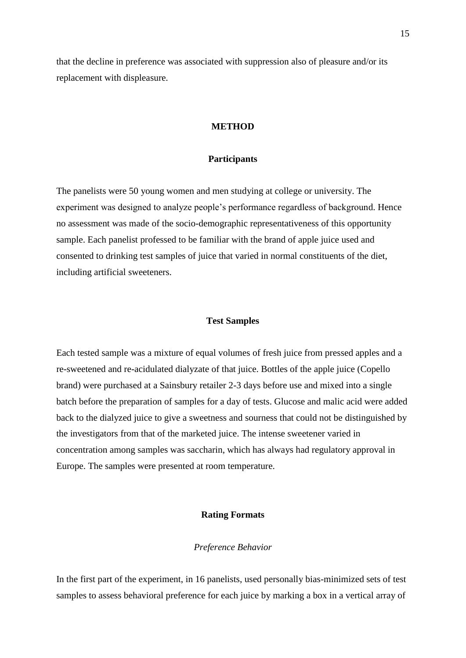that the decline in preference was associated with suppression also of pleasure and/or its replacement with displeasure.

## **METHOD**

## **Participants**

The panelists were 50 young women and men studying at college or university. The experiment was designed to analyze people's performance regardless of background. Hence no assessment was made of the socio-demographic representativeness of this opportunity sample. Each panelist professed to be familiar with the brand of apple juice used and consented to drinking test samples of juice that varied in normal constituents of the diet, including artificial sweeteners.

## **Test Samples**

Each tested sample was a mixture of equal volumes of fresh juice from pressed apples and a re-sweetened and re-acidulated dialyzate of that juice. Bottles of the apple juice (Copello brand) were purchased at a Sainsbury retailer 2-3 days before use and mixed into a single batch before the preparation of samples for a day of tests. Glucose and malic acid were added back to the dialyzed juice to give a sweetness and sourness that could not be distinguished by the investigators from that of the marketed juice. The intense sweetener varied in concentration among samples was saccharin, which has always had regulatory approval in Europe. The samples were presented at room temperature.

#### **Rating Formats**

#### *Preference Behavior*

In the first part of the experiment, in 16 panelists, used personally bias-minimized sets of test samples to assess behavioral preference for each juice by marking a box in a vertical array of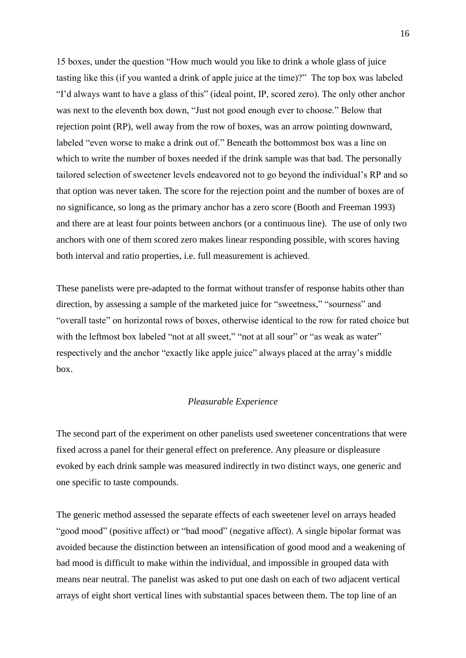15 boxes, under the question "How much would you like to drink a whole glass of juice tasting like this (if you wanted a drink of apple juice at the time)?" The top box was labeled "I'd always want to have a glass of this" (ideal point, IP, scored zero). The only other anchor was next to the eleventh box down, "Just not good enough ever to choose." Below that rejection point (RP), well away from the row of boxes, was an arrow pointing downward, labeled "even worse to make a drink out of." Beneath the bottommost box was a line on which to write the number of boxes needed if the drink sample was that bad. The personally tailored selection of sweetener levels endeavored not to go beyond the individual's RP and so that option was never taken. The score for the rejection point and the number of boxes are of no significance, so long as the primary anchor has a zero score (Booth and Freeman 1993) and there are at least four points between anchors (or a continuous line). The use of only two anchors with one of them scored zero makes linear responding possible, with scores having both interval and ratio properties, i.e. full measurement is achieved.

These panelists were pre-adapted to the format without transfer of response habits other than direction, by assessing a sample of the marketed juice for "sweetness," "sourness" and "overall taste" on horizontal rows of boxes, otherwise identical to the row for rated choice but with the leftmost box labeled "not at all sweet," "not at all sour" or "as weak as water" respectively and the anchor "exactly like apple juice" always placed at the array's middle box.

## *Pleasurable Experience*

The second part of the experiment on other panelists used sweetener concentrations that were fixed across a panel for their general effect on preference. Any pleasure or displeasure evoked by each drink sample was measured indirectly in two distinct ways, one generic and one specific to taste compounds.

The generic method assessed the separate effects of each sweetener level on arrays headed "good mood" (positive affect) or "bad mood" (negative affect). A single bipolar format was avoided because the distinction between an intensification of good mood and a weakening of bad mood is difficult to make within the individual, and impossible in grouped data with means near neutral. The panelist was asked to put one dash on each of two adjacent vertical arrays of eight short vertical lines with substantial spaces between them. The top line of an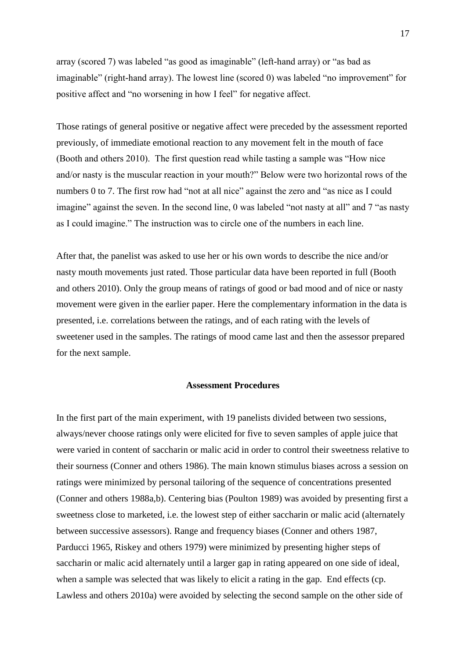array (scored 7) was labeled "as good as imaginable" (left-hand array) or "as bad as imaginable" (right-hand array). The lowest line (scored 0) was labeled "no improvement" for positive affect and "no worsening in how I feel" for negative affect.

Those ratings of general positive or negative affect were preceded by the assessment reported previously, of immediate emotional reaction to any movement felt in the mouth of face (Booth and others 2010). The first question read while tasting a sample was "How nice and/or nasty is the muscular reaction in your mouth?" Below were two horizontal rows of the numbers 0 to 7. The first row had "not at all nice" against the zero and "as nice as I could imagine" against the seven. In the second line, 0 was labeled "not nasty at all" and 7 "as nasty as I could imagine." The instruction was to circle one of the numbers in each line.

After that, the panelist was asked to use her or his own words to describe the nice and/or nasty mouth movements just rated. Those particular data have been reported in full (Booth and others 2010). Only the group means of ratings of good or bad mood and of nice or nasty movement were given in the earlier paper. Here the complementary information in the data is presented, i.e. correlations between the ratings, and of each rating with the levels of sweetener used in the samples. The ratings of mood came last and then the assessor prepared for the next sample.

#### **Assessment Procedures**

In the first part of the main experiment, with 19 panelists divided between two sessions, always/never choose ratings only were elicited for five to seven samples of apple juice that were varied in content of saccharin or malic acid in order to control their sweetness relative to their sourness (Conner and others 1986). The main known stimulus biases across a session on ratings were minimized by personal tailoring of the sequence of concentrations presented (Conner and others 1988a,b). Centering bias (Poulton 1989) was avoided by presenting first a sweetness close to marketed, i.e. the lowest step of either saccharin or malic acid (alternately between successive assessors). Range and frequency biases (Conner and others 1987, Parducci 1965, Riskey and others 1979) were minimized by presenting higher steps of saccharin or malic acid alternately until a larger gap in rating appeared on one side of ideal, when a sample was selected that was likely to elicit a rating in the gap. End effects (cp. Lawless and others 2010a) were avoided by selecting the second sample on the other side of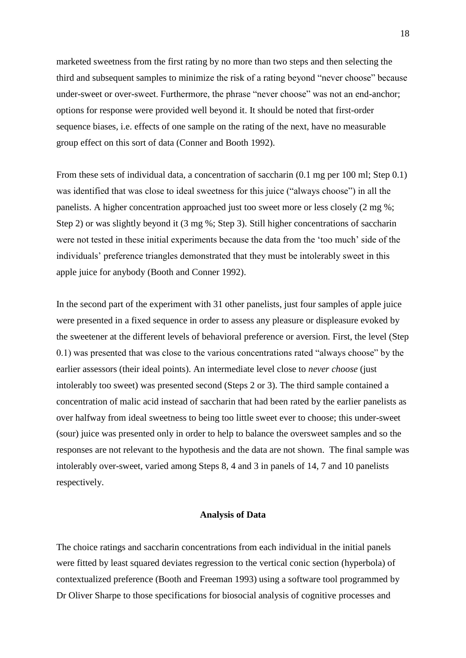marketed sweetness from the first rating by no more than two steps and then selecting the third and subsequent samples to minimize the risk of a rating beyond "never choose" because under-sweet or over-sweet. Furthermore, the phrase "never choose" was not an end-anchor; options for response were provided well beyond it. It should be noted that first-order sequence biases, i.e. effects of one sample on the rating of the next, have no measurable group effect on this sort of data (Conner and Booth 1992).

From these sets of individual data, a concentration of saccharin (0.1 mg per 100 ml; Step 0.1) was identified that was close to ideal sweetness for this juice ("always choose") in all the panelists. A higher concentration approached just too sweet more or less closely (2 mg %; Step 2) or was slightly beyond it (3 mg %; Step 3). Still higher concentrations of saccharin were not tested in these initial experiments because the data from the 'too much' side of the individuals' preference triangles demonstrated that they must be intolerably sweet in this apple juice for anybody (Booth and Conner 1992).

In the second part of the experiment with 31 other panelists, just four samples of apple juice were presented in a fixed sequence in order to assess any pleasure or displeasure evoked by the sweetener at the different levels of behavioral preference or aversion. First, the level (Step 0.1) was presented that was close to the various concentrations rated "always choose" by the earlier assessors (their ideal points). An intermediate level close to *never choose* (just intolerably too sweet) was presented second (Steps 2 or 3). The third sample contained a concentration of malic acid instead of saccharin that had been rated by the earlier panelists as over halfway from ideal sweetness to being too little sweet ever to choose; this under-sweet (sour) juice was presented only in order to help to balance the oversweet samples and so the responses are not relevant to the hypothesis and the data are not shown. The final sample was intolerably over-sweet, varied among Steps 8, 4 and 3 in panels of 14, 7 and 10 panelists respectively.

#### **Analysis of Data**

The choice ratings and saccharin concentrations from each individual in the initial panels were fitted by least squared deviates regression to the vertical conic section (hyperbola) of contextualized preference (Booth and Freeman 1993) using a software tool programmed by Dr Oliver Sharpe to those specifications for biosocial analysis of cognitive processes and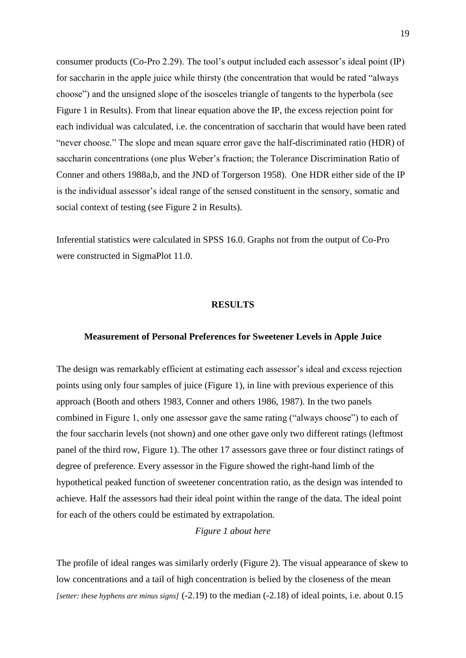consumer products (Co-Pro 2.29). The tool's output included each assessor's ideal point (IP) for saccharin in the apple juice while thirsty (the concentration that would be rated "always choose") and the unsigned slope of the isosceles triangle of tangents to the hyperbola (see Figure 1 in Results). From that linear equation above the IP, the excess rejection point for each individual was calculated, i.e. the concentration of saccharin that would have been rated "never choose." The slope and mean square error gave the half-discriminated ratio (HDR) of saccharin concentrations (one plus Weber's fraction; the Tolerance Discrimination Ratio of Conner and others 1988a,b, and the JND of Torgerson 1958). One HDR either side of the IP is the individual assessor's ideal range of the sensed constituent in the sensory, somatic and social context of testing (see Figure 2 in Results).

Inferential statistics were calculated in SPSS 16.0. Graphs not from the output of Co-Pro were constructed in SigmaPlot 11.0.

#### **RESULTS**

#### **Measurement of Personal Preferences for Sweetener Levels in Apple Juice**

The design was remarkably efficient at estimating each assessor's ideal and excess rejection points using only four samples of juice (Figure 1), in line with previous experience of this approach (Booth and others 1983, Conner and others 1986, 1987). In the two panels combined in Figure 1, only one assessor gave the same rating ("always choose") to each of the four saccharin levels (not shown) and one other gave only two different ratings (leftmost panel of the third row, Figure 1). The other 17 assessors gave three or four distinct ratings of degree of preference. Every assessor in the Figure showed the right-hand limb of the hypothetical peaked function of sweetener concentration ratio, as the design was intended to achieve. Half the assessors had their ideal point within the range of the data. The ideal point for each of the others could be estimated by extrapolation.

## *Figure 1 about here*

The profile of ideal ranges was similarly orderly (Figure 2). The visual appearance of skew to low concentrations and a tail of high concentration is belied by the closeness of the mean *[setter: these hyphens are minus signs]* (-2.19) to the median (-2.18) of ideal points, i.e. about 0.15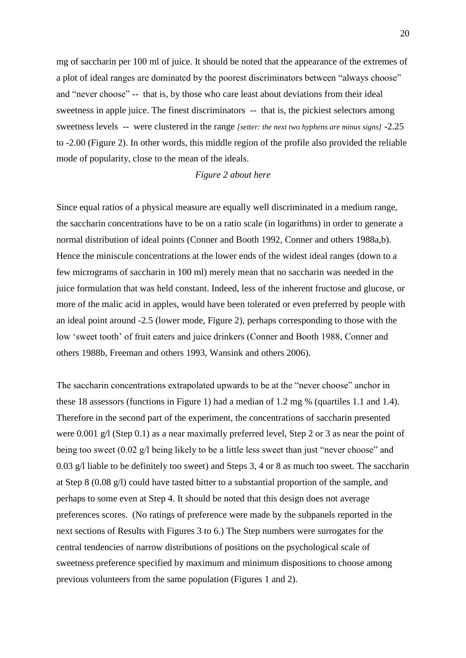mg of saccharin per 100 ml of juice. It should be noted that the appearance of the extremes of a plot of ideal ranges are dominated by the poorest discriminators between "always choose" and "never choose" -- that is, by those who care least about deviations from their ideal sweetness in apple juice. The finest discriminators -- that is, the pickiest selectors among sweetness levels -- were clustered in the range *[setter: the next two hyphens are minus signs]* -2.25 to -2.00 (Figure 2). In other words, this middle region of the profile also provided the reliable mode of popularity, close to the mean of the ideals.

#### *Figure 2 about here*

Since equal ratios of a physical measure are equally well discriminated in a medium range, the saccharin concentrations have to be on a ratio scale (in logarithms) in order to generate a normal distribution of ideal points (Conner and Booth 1992, Conner and others 1988a,b). Hence the miniscule concentrations at the lower ends of the widest ideal ranges (down to a few micrograms of saccharin in 100 ml) merely mean that no saccharin was needed in the juice formulation that was held constant. Indeed, less of the inherent fructose and glucose, or more of the malic acid in apples, would have been tolerated or even preferred by people with an ideal point around -2.5 (lower mode, Figure 2), perhaps corresponding to those with the low 'sweet tooth' of fruit eaters and juice drinkers (Conner and Booth 1988, Conner and others 1988b, Freeman and others 1993, Wansink and others 2006).

The saccharin concentrations extrapolated upwards to be at the "never choose" anchor in these 18 assessors (functions in Figure 1) had a median of 1.2 mg % (quartiles 1.1 and 1.4). Therefore in the second part of the experiment, the concentrations of saccharin presented were 0.001 g/l (Step 0.1) as a near maximally preferred level, Step 2 or 3 as near the point of being too sweet (0.02 g/l being likely to be a little less sweet than just "never choose" and 0.03 g/l liable to be definitely too sweet) and Steps 3, 4 or 8 as much too sweet. The saccharin at Step 8 (0.08 g/l) could have tasted bitter to a substantial proportion of the sample, and perhaps to some even at Step 4. It should be noted that this design does not average preferences scores. (No ratings of preference were made by the subpanels reported in the next sections of Results with Figures 3 to 6.) The Step numbers were surrogates for the central tendencies of narrow distributions of positions on the psychological scale of sweetness preference specified by maximum and minimum dispositions to choose among previous volunteers from the same population (Figures 1 and 2).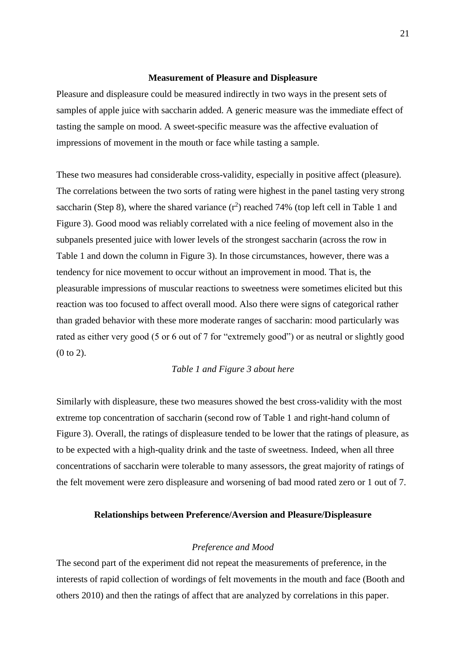#### **Measurement of Pleasure and Displeasure**

Pleasure and displeasure could be measured indirectly in two ways in the present sets of samples of apple juice with saccharin added. A generic measure was the immediate effect of tasting the sample on mood. A sweet-specific measure was the affective evaluation of impressions of movement in the mouth or face while tasting a sample.

These two measures had considerable cross-validity, especially in positive affect (pleasure). The correlations between the two sorts of rating were highest in the panel tasting very strong saccharin (Step 8), where the shared variance  $(r^2)$  reached 74% (top left cell in Table 1 and Figure 3). Good mood was reliably correlated with a nice feeling of movement also in the subpanels presented juice with lower levels of the strongest saccharin (across the row in Table 1 and down the column in Figure 3). In those circumstances, however, there was a tendency for nice movement to occur without an improvement in mood. That is, the pleasurable impressions of muscular reactions to sweetness were sometimes elicited but this reaction was too focused to affect overall mood. Also there were signs of categorical rather than graded behavior with these more moderate ranges of saccharin: mood particularly was rated as either very good (5 or 6 out of 7 for "extremely good") or as neutral or slightly good (0 to 2).

#### *Table 1 and Figure 3 about here*

Similarly with displeasure, these two measures showed the best cross-validity with the most extreme top concentration of saccharin (second row of Table 1 and right-hand column of Figure 3). Overall, the ratings of displeasure tended to be lower that the ratings of pleasure, as to be expected with a high-quality drink and the taste of sweetness. Indeed, when all three concentrations of saccharin were tolerable to many assessors, the great majority of ratings of the felt movement were zero displeasure and worsening of bad mood rated zero or 1 out of 7.

#### **Relationships between Preference/Aversion and Pleasure/Displeasure**

#### *Preference and Mood*

The second part of the experiment did not repeat the measurements of preference, in the interests of rapid collection of wordings of felt movements in the mouth and face (Booth and others 2010) and then the ratings of affect that are analyzed by correlations in this paper.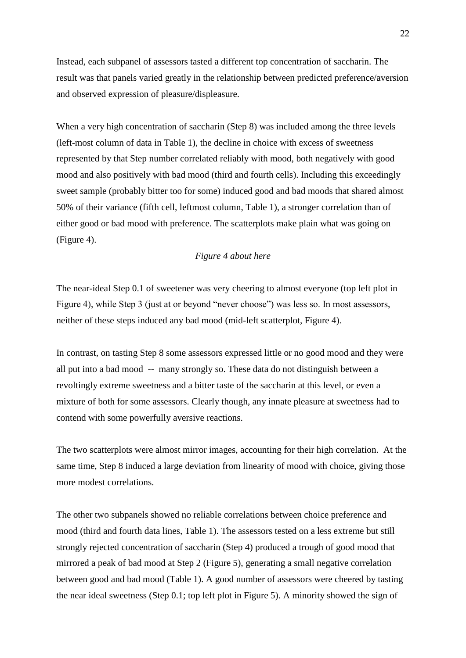Instead, each subpanel of assessors tasted a different top concentration of saccharin. The result was that panels varied greatly in the relationship between predicted preference/aversion and observed expression of pleasure/displeasure.

When a very high concentration of saccharin (Step 8) was included among the three levels (left-most column of data in Table 1), the decline in choice with excess of sweetness represented by that Step number correlated reliably with mood, both negatively with good mood and also positively with bad mood (third and fourth cells). Including this exceedingly sweet sample (probably bitter too for some) induced good and bad moods that shared almost 50% of their variance (fifth cell, leftmost column, Table 1), a stronger correlation than of either good or bad mood with preference. The scatterplots make plain what was going on (Figure 4).

## *Figure 4 about here*

The near-ideal Step 0.1 of sweetener was very cheering to almost everyone (top left plot in Figure 4), while Step 3 (just at or beyond "never choose") was less so. In most assessors, neither of these steps induced any bad mood (mid-left scatterplot, Figure 4).

In contrast, on tasting Step 8 some assessors expressed little or no good mood and they were all put into a bad mood -- many strongly so. These data do not distinguish between a revoltingly extreme sweetness and a bitter taste of the saccharin at this level, or even a mixture of both for some assessors. Clearly though, any innate pleasure at sweetness had to contend with some powerfully aversive reactions.

The two scatterplots were almost mirror images, accounting for their high correlation. At the same time, Step 8 induced a large deviation from linearity of mood with choice, giving those more modest correlations.

The other two subpanels showed no reliable correlations between choice preference and mood (third and fourth data lines, Table 1). The assessors tested on a less extreme but still strongly rejected concentration of saccharin (Step 4) produced a trough of good mood that mirrored a peak of bad mood at Step 2 (Figure 5), generating a small negative correlation between good and bad mood (Table 1). A good number of assessors were cheered by tasting the near ideal sweetness (Step 0.1; top left plot in Figure 5). A minority showed the sign of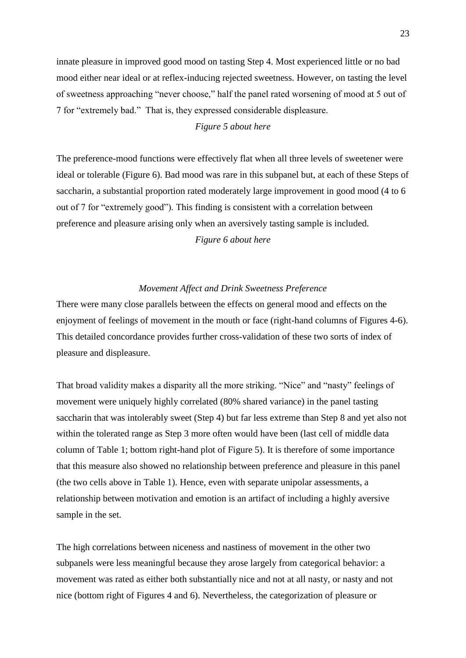innate pleasure in improved good mood on tasting Step 4. Most experienced little or no bad mood either near ideal or at reflex-inducing rejected sweetness. However, on tasting the level of sweetness approaching "never choose," half the panel rated worsening of mood at 5 out of 7 for "extremely bad." That is, they expressed considerable displeasure.

## *Figure 5 about here*

The preference-mood functions were effectively flat when all three levels of sweetener were ideal or tolerable (Figure 6). Bad mood was rare in this subpanel but, at each of these Steps of saccharin, a substantial proportion rated moderately large improvement in good mood (4 to 6 out of 7 for "extremely good"). This finding is consistent with a correlation between preference and pleasure arising only when an aversively tasting sample is included.

*Figure 6 about here*

## *Movement Affect and Drink Sweetness Preference*

There were many close parallels between the effects on general mood and effects on the enjoyment of feelings of movement in the mouth or face (right-hand columns of Figures 4-6). This detailed concordance provides further cross-validation of these two sorts of index of pleasure and displeasure.

That broad validity makes a disparity all the more striking. "Nice" and "nasty" feelings of movement were uniquely highly correlated (80% shared variance) in the panel tasting saccharin that was intolerably sweet (Step 4) but far less extreme than Step 8 and yet also not within the tolerated range as Step 3 more often would have been (last cell of middle data column of Table 1; bottom right-hand plot of Figure 5). It is therefore of some importance that this measure also showed no relationship between preference and pleasure in this panel (the two cells above in Table 1). Hence, even with separate unipolar assessments, a relationship between motivation and emotion is an artifact of including a highly aversive sample in the set.

The high correlations between niceness and nastiness of movement in the other two subpanels were less meaningful because they arose largely from categorical behavior: a movement was rated as either both substantially nice and not at all nasty, or nasty and not nice (bottom right of Figures 4 and 6). Nevertheless, the categorization of pleasure or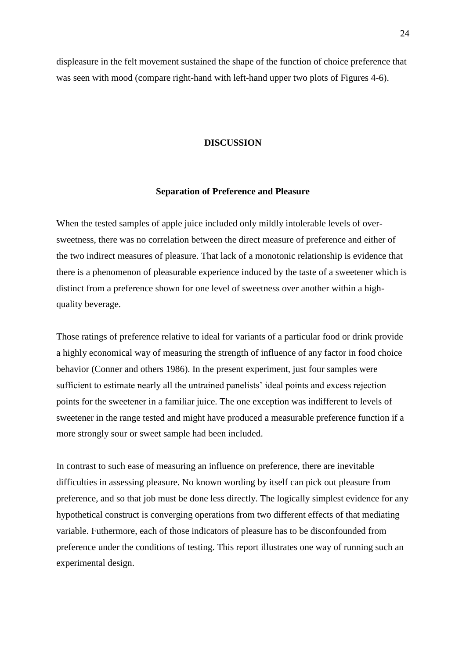displeasure in the felt movement sustained the shape of the function of choice preference that was seen with mood (compare right-hand with left-hand upper two plots of Figures 4-6).

#### **DISCUSSION**

#### **Separation of Preference and Pleasure**

When the tested samples of apple juice included only mildly intolerable levels of oversweetness, there was no correlation between the direct measure of preference and either of the two indirect measures of pleasure. That lack of a monotonic relationship is evidence that there is a phenomenon of pleasurable experience induced by the taste of a sweetener which is distinct from a preference shown for one level of sweetness over another within a highquality beverage.

Those ratings of preference relative to ideal for variants of a particular food or drink provide a highly economical way of measuring the strength of influence of any factor in food choice behavior (Conner and others 1986). In the present experiment, just four samples were sufficient to estimate nearly all the untrained panelists' ideal points and excess rejection points for the sweetener in a familiar juice. The one exception was indifferent to levels of sweetener in the range tested and might have produced a measurable preference function if a more strongly sour or sweet sample had been included.

In contrast to such ease of measuring an influence on preference, there are inevitable difficulties in assessing pleasure. No known wording by itself can pick out pleasure from preference, and so that job must be done less directly. The logically simplest evidence for any hypothetical construct is converging operations from two different effects of that mediating variable. Futhermore, each of those indicators of pleasure has to be disconfounded from preference under the conditions of testing. This report illustrates one way of running such an experimental design.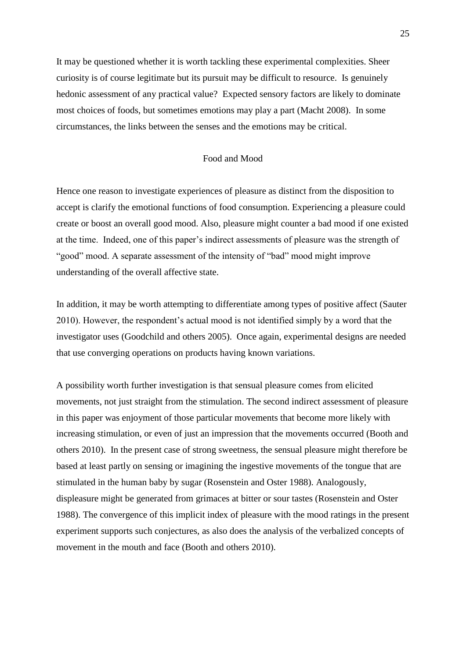It may be questioned whether it is worth tackling these experimental complexities. Sheer curiosity is of course legitimate but its pursuit may be difficult to resource. Is genuinely hedonic assessment of any practical value? Expected sensory factors are likely to dominate most choices of foods, but sometimes emotions may play a part (Macht 2008). In some circumstances, the links between the senses and the emotions may be critical.

## Food and Mood

Hence one reason to investigate experiences of pleasure as distinct from the disposition to accept is clarify the emotional functions of food consumption. Experiencing a pleasure could create or boost an overall good mood. Also, pleasure might counter a bad mood if one existed at the time. Indeed, one of this paper's indirect assessments of pleasure was the strength of "good" mood. A separate assessment of the intensity of "bad" mood might improve understanding of the overall affective state.

In addition, it may be worth attempting to differentiate among types of positive affect (Sauter 2010). However, the respondent's actual mood is not identified simply by a word that the investigator uses (Goodchild and others 2005). Once again, experimental designs are needed that use converging operations on products having known variations.

A possibility worth further investigation is that sensual pleasure comes from elicited movements, not just straight from the stimulation. The second indirect assessment of pleasure in this paper was enjoyment of those particular movements that become more likely with increasing stimulation, or even of just an impression that the movements occurred (Booth and others 2010). In the present case of strong sweetness, the sensual pleasure might therefore be based at least partly on sensing or imagining the ingestive movements of the tongue that are stimulated in the human baby by sugar (Rosenstein and Oster 1988). Analogously, displeasure might be generated from grimaces at bitter or sour tastes (Rosenstein and Oster 1988). The convergence of this implicit index of pleasure with the mood ratings in the present experiment supports such conjectures, as also does the analysis of the verbalized concepts of movement in the mouth and face (Booth and others 2010).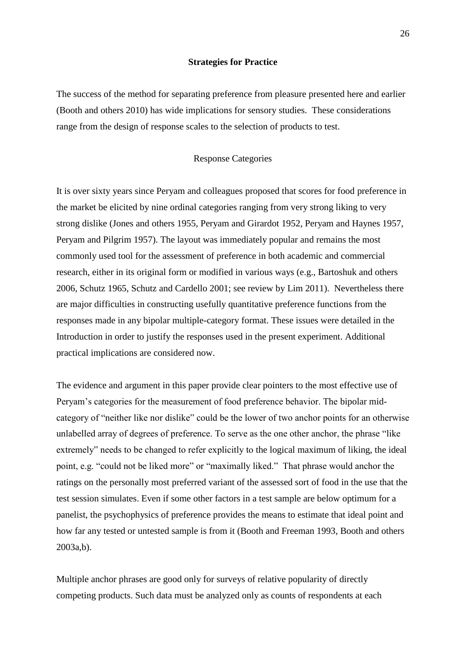#### **Strategies for Practice**

The success of the method for separating preference from pleasure presented here and earlier (Booth and others 2010) has wide implications for sensory studies. These considerations range from the design of response scales to the selection of products to test.

## Response Categories

It is over sixty years since Peryam and colleagues proposed that scores for food preference in the market be elicited by nine ordinal categories ranging from very strong liking to very strong dislike (Jones and others 1955, Peryam and Girardot 1952, Peryam and Haynes 1957, Peryam and Pilgrim 1957). The layout was immediately popular and remains the most commonly used tool for the assessment of preference in both academic and commercial research, either in its original form or modified in various ways (e.g., Bartoshuk and others 2006, Schutz 1965, Schutz and Cardello 2001; see review by Lim 2011). Nevertheless there are major difficulties in constructing usefully quantitative preference functions from the responses made in any bipolar multiple-category format. These issues were detailed in the Introduction in order to justify the responses used in the present experiment. Additional practical implications are considered now.

The evidence and argument in this paper provide clear pointers to the most effective use of Peryam's categories for the measurement of food preference behavior. The bipolar midcategory of "neither like nor dislike" could be the lower of two anchor points for an otherwise unlabelled array of degrees of preference. To serve as the one other anchor, the phrase "like extremely" needs to be changed to refer explicitly to the logical maximum of liking, the ideal point, e.g. "could not be liked more" or "maximally liked." That phrase would anchor the ratings on the personally most preferred variant of the assessed sort of food in the use that the test session simulates. Even if some other factors in a test sample are below optimum for a panelist, the psychophysics of preference provides the means to estimate that ideal point and how far any tested or untested sample is from it (Booth and Freeman 1993, Booth and others 2003a,b).

Multiple anchor phrases are good only for surveys of relative popularity of directly competing products. Such data must be analyzed only as counts of respondents at each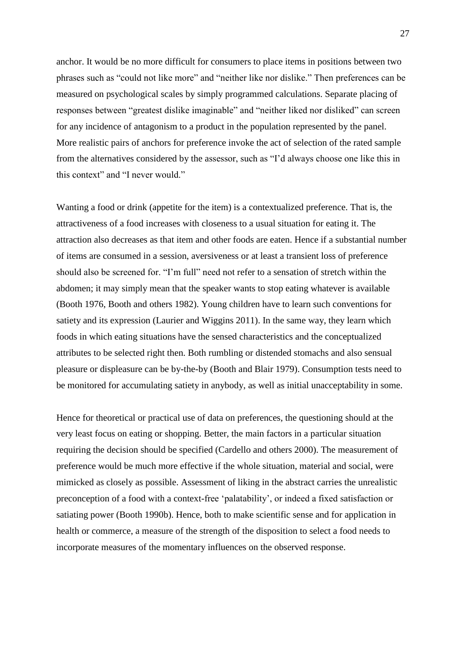anchor. It would be no more difficult for consumers to place items in positions between two phrases such as "could not like more" and "neither like nor dislike." Then preferences can be measured on psychological scales by simply programmed calculations. Separate placing of responses between "greatest dislike imaginable" and "neither liked nor disliked" can screen for any incidence of antagonism to a product in the population represented by the panel. More realistic pairs of anchors for preference invoke the act of selection of the rated sample from the alternatives considered by the assessor, such as "I'd always choose one like this in this context" and "I never would."

Wanting a food or drink (appetite for the item) is a contextualized preference. That is, the attractiveness of a food increases with closeness to a usual situation for eating it. The attraction also decreases as that item and other foods are eaten. Hence if a substantial number of items are consumed in a session, aversiveness or at least a transient loss of preference should also be screened for. "I'm full" need not refer to a sensation of stretch within the abdomen; it may simply mean that the speaker wants to stop eating whatever is available (Booth 1976, Booth and others 1982). Young children have to learn such conventions for satiety and its expression (Laurier and Wiggins 2011). In the same way, they learn which foods in which eating situations have the sensed characteristics and the conceptualized attributes to be selected right then. Both rumbling or distended stomachs and also sensual pleasure or displeasure can be by-the-by (Booth and Blair 1979). Consumption tests need to be monitored for accumulating satiety in anybody, as well as initial unacceptability in some.

Hence for theoretical or practical use of data on preferences, the questioning should at the very least focus on eating or shopping. Better, the main factors in a particular situation requiring the decision should be specified (Cardello and others 2000). The measurement of preference would be much more effective if the whole situation, material and social, were mimicked as closely as possible. Assessment of liking in the abstract carries the unrealistic preconception of a food with a context-free 'palatability', or indeed a fixed satisfaction or satiating power (Booth 1990b). Hence, both to make scientific sense and for application in health or commerce, a measure of the strength of the disposition to select a food needs to incorporate measures of the momentary influences on the observed response.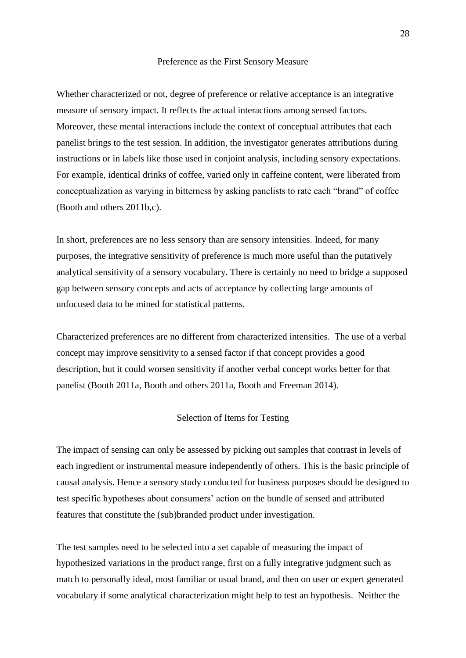#### Preference as the First Sensory Measure

Whether characterized or not, degree of preference or relative acceptance is an integrative measure of sensory impact. It reflects the actual interactions among sensed factors. Moreover, these mental interactions include the context of conceptual attributes that each panelist brings to the test session. In addition, the investigator generates attributions during instructions or in labels like those used in conjoint analysis, including sensory expectations. For example, identical drinks of coffee, varied only in caffeine content, were liberated from conceptualization as varying in bitterness by asking panelists to rate each "brand" of coffee (Booth and others 2011b,c).

In short, preferences are no less sensory than are sensory intensities. Indeed, for many purposes, the integrative sensitivity of preference is much more useful than the putatively analytical sensitivity of a sensory vocabulary. There is certainly no need to bridge a supposed gap between sensory concepts and acts of acceptance by collecting large amounts of unfocused data to be mined for statistical patterns.

Characterized preferences are no different from characterized intensities. The use of a verbal concept may improve sensitivity to a sensed factor if that concept provides a good description, but it could worsen sensitivity if another verbal concept works better for that panelist (Booth 2011a, Booth and others 2011a, Booth and Freeman 2014).

## Selection of Items for Testing

The impact of sensing can only be assessed by picking out samples that contrast in levels of each ingredient or instrumental measure independently of others. This is the basic principle of causal analysis. Hence a sensory study conducted for business purposes should be designed to test specific hypotheses about consumers' action on the bundle of sensed and attributed features that constitute the (sub)branded product under investigation.

The test samples need to be selected into a set capable of measuring the impact of hypothesized variations in the product range, first on a fully integrative judgment such as match to personally ideal, most familiar or usual brand, and then on user or expert generated vocabulary if some analytical characterization might help to test an hypothesis. Neither the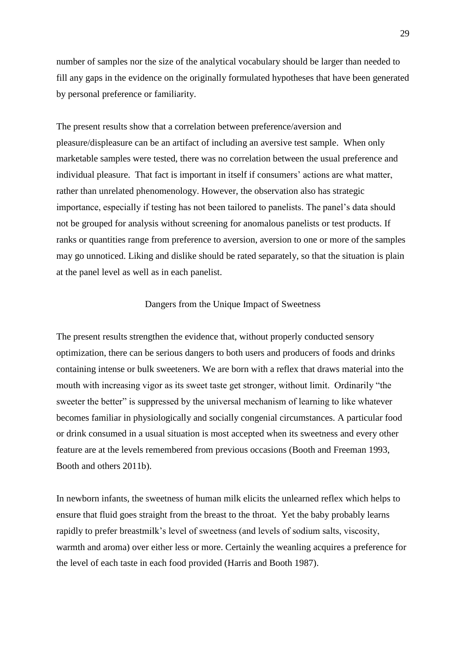number of samples nor the size of the analytical vocabulary should be larger than needed to fill any gaps in the evidence on the originally formulated hypotheses that have been generated by personal preference or familiarity.

The present results show that a correlation between preference/aversion and pleasure/displeasure can be an artifact of including an aversive test sample. When only marketable samples were tested, there was no correlation between the usual preference and individual pleasure. That fact is important in itself if consumers' actions are what matter, rather than unrelated phenomenology. However, the observation also has strategic importance, especially if testing has not been tailored to panelists. The panel's data should not be grouped for analysis without screening for anomalous panelists or test products. If ranks or quantities range from preference to aversion, aversion to one or more of the samples may go unnoticed. Liking and dislike should be rated separately, so that the situation is plain at the panel level as well as in each panelist.

#### Dangers from the Unique Impact of Sweetness

The present results strengthen the evidence that, without properly conducted sensory optimization, there can be serious dangers to both users and producers of foods and drinks containing intense or bulk sweeteners. We are born with a reflex that draws material into the mouth with increasing vigor as its sweet taste get stronger, without limit. Ordinarily "the sweeter the better" is suppressed by the universal mechanism of learning to like whatever becomes familiar in physiologically and socially congenial circumstances. A particular food or drink consumed in a usual situation is most accepted when its sweetness and every other feature are at the levels remembered from previous occasions (Booth and Freeman 1993, Booth and others 2011b).

In newborn infants, the sweetness of human milk elicits the unlearned reflex which helps to ensure that fluid goes straight from the breast to the throat. Yet the baby probably learns rapidly to prefer breastmilk's level of sweetness (and levels of sodium salts, viscosity, warmth and aroma) over either less or more. Certainly the weanling acquires a preference for the level of each taste in each food provided (Harris and Booth 1987).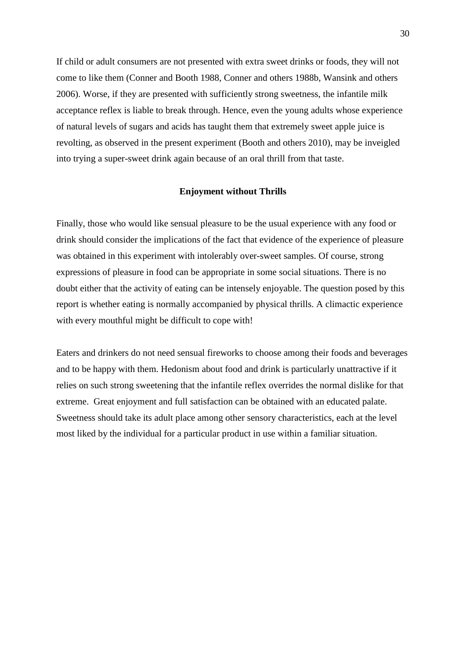If child or adult consumers are not presented with extra sweet drinks or foods, they will not come to like them (Conner and Booth 1988, Conner and others 1988b, Wansink and others 2006). Worse, if they are presented with sufficiently strong sweetness, the infantile milk acceptance reflex is liable to break through. Hence, even the young adults whose experience of natural levels of sugars and acids has taught them that extremely sweet apple juice is revolting, as observed in the present experiment (Booth and others 2010), may be inveigled into trying a super-sweet drink again because of an oral thrill from that taste.

## **Enjoyment without Thrills**

Finally, those who would like sensual pleasure to be the usual experience with any food or drink should consider the implications of the fact that evidence of the experience of pleasure was obtained in this experiment with intolerably over-sweet samples. Of course, strong expressions of pleasure in food can be appropriate in some social situations. There is no doubt either that the activity of eating can be intensely enjoyable. The question posed by this report is whether eating is normally accompanied by physical thrills. A climactic experience with every mouthful might be difficult to cope with!

Eaters and drinkers do not need sensual fireworks to choose among their foods and beverages and to be happy with them. Hedonism about food and drink is particularly unattractive if it relies on such strong sweetening that the infantile reflex overrides the normal dislike for that extreme. Great enjoyment and full satisfaction can be obtained with an educated palate. Sweetness should take its adult place among other sensory characteristics, each at the level most liked by the individual for a particular product in use within a familiar situation.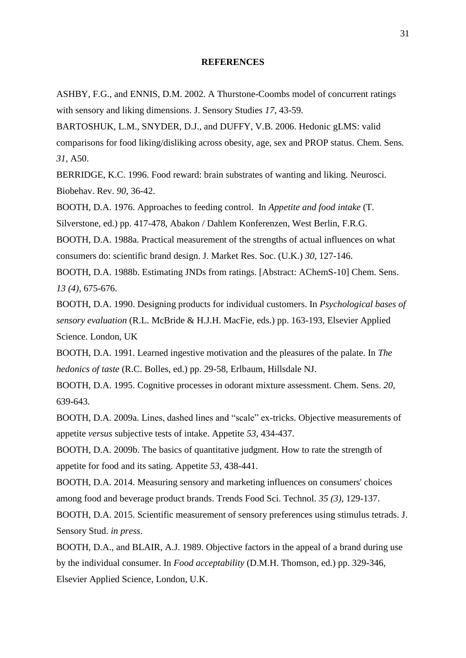#### **REFERENCES**

ASHBY, F.G., and ENNIS, D.M. 2002. A Thurstone-Coombs model of concurrent ratings with sensory and liking dimensions. J. Sensory Studies *17*, 43-59.

BARTOSHUK, L.M., SNYDER, D.J., and DUFFY, V.B. 2006. Hedonic gLMS: valid comparisons for food liking/disliking across obesity, age, sex and PROP status. Chem. Sens*. 31*, A50.

BERRIDGE, K.C. 1996. Food reward: brain substrates of wanting and liking. Neurosci. Biobehav. Rev. *90*, 36-42.

BOOTH, D.A. 1976. Approaches to feeding control. In *Appetite and food intake* (T. Silverstone, ed.) pp. 417-478, Abakon / Dahlem Konferenzen, West Berlin, F.R.G.

BOOTH, D.A. 1988a. Practical measurement of the strengths of actual influences on what consumers do: scientific brand design. J. Market Res. Soc. (U.K.) *30*, 127-146.

BOOTH, D.A. 1988b. Estimating JNDs from ratings. [Abstract: AChemS-10] Chem. Sens. *13 (4)*, 675-676.

BOOTH, D.A. 1990. Designing products for individual customers. In *Psychological bases of sensory evaluation* (R.L. McBride & H.J.H. MacFie, eds.) pp. 163-193, Elsevier Applied Science. London, UK

BOOTH, D.A. 1991. Learned ingestive motivation and the pleasures of the palate. In *The hedonics of taste* (R.C. Bolles, ed.) pp. 29-58, Erlbaum, Hillsdale NJ.

BOOTH, D.A. 1995. Cognitive processes in odorant mixture assessment. Chem. Sens. *20*, 639-643.

BOOTH, D.A. 2009a. Lines, dashed lines and "scale" ex-tricks. Objective measurements of appetite *versus* subjective tests of intake. Appetite *53*, 434-437.

BOOTH, D.A. 2009b. The basics of quantitative judgment. How to rate the strength of appetite for food and its sating. Appetite *53*, 438-441.

BOOTH, D.A. 2014. Measuring sensory and marketing influences on consumers' choices among food and beverage product brands. Trends Food Sci. Technol. *35 (3)*, 129-137.

BOOTH, D.A. 2015. Scientific measurement of sensory preferences using stimulus tetrads. J. Sensory Stud. *in press*.

BOOTH, D.A., and BLAIR, A.J. 1989. Objective factors in the appeal of a brand during use by the individual consumer. In *Food acceptability* (D.M.H. Thomson, ed.) pp. 329-346, Elsevier Applied Science, London, U.K.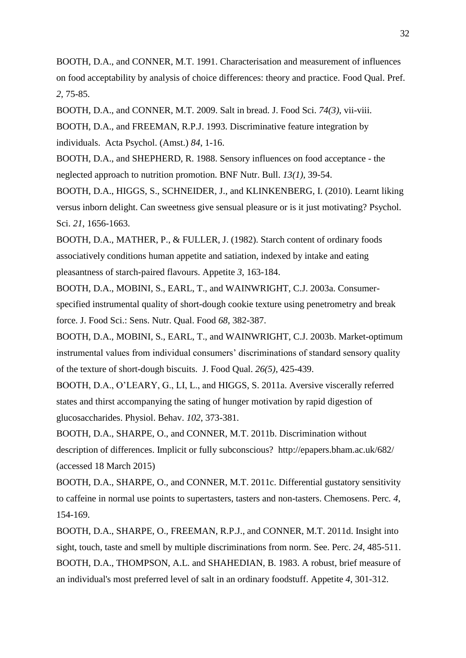BOOTH, D.A., and CONNER, M.T. 1991. Characterisation and measurement of influences on food acceptability by analysis of choice differences: theory and practice. Food Qual. Pref. *2*, 75-85.

BOOTH, D.A., and CONNER, M.T. 2009. Salt in bread. J. Food Sci. *74(3)*, vii-viii. BOOTH, D.A., and FREEMAN, R.P.J. 1993. Discriminative feature integration by individuals. Acta Psychol. (Amst.) *84*, 1-16.

BOOTH, D.A., and SHEPHERD, R. 1988. Sensory influences on food acceptance - the neglected approach to nutrition promotion. BNF Nutr. Bull. *13(1)*, 39-54.

BOOTH, D.A., HIGGS, S., SCHNEIDER, J., and KLINKENBERG, I. (2010). Learnt liking versus inborn delight. Can sweetness give sensual pleasure or is it just motivating? Psychol. Sci. *21*, 1656-1663.

BOOTH, D.A., MATHER, P., & FULLER, J. (1982). Starch content of ordinary foods associatively conditions human appetite and satiation, indexed by intake and eating pleasantness of starch-paired flavours. Appetite *3*, 163-184.

BOOTH, D.A., MOBINI, S., EARL, T., and WAINWRIGHT, C.J. 2003a. Consumerspecified instrumental quality of short-dough cookie texture using penetrometry and break force. J. Food Sci.: Sens. Nutr. Qual. Food *68*, 382-387.

BOOTH, D.A., MOBINI, S., EARL, T., and WAINWRIGHT, C.J. 2003b. Market-optimum instrumental values from individual consumers' discriminations of standard sensory quality of the texture of short-dough biscuits. J. Food Qual. *26(5)*, 425-439.

BOOTH, D.A., O'LEARY, G., LI, L., and HIGGS, S. 2011a. Aversive viscerally referred states and thirst accompanying the sating of hunger motivation by rapid digestion of glucosaccharides. Physiol. Behav. *102*, 373-381.

BOOTH, D.A., SHARPE, O., and CONNER, M.T. 2011b. Discrimination without description of differences. Implicit or fully subconscious? http://epapers.bham.ac.uk/682/ (accessed 18 March 2015)

BOOTH, D.A., SHARPE, O., and CONNER, M.T. 2011c. Differential gustatory sensitivity to caffeine in normal use points to supertasters, tasters and non-tasters. Chemosens. Perc*. 4*, 154-169.

BOOTH, D.A., SHARPE, O., FREEMAN, R.P.J., and CONNER, M.T. 2011d. Insight into sight, touch, taste and smell by multiple discriminations from norm. See. Perc. *24*, 485-511. BOOTH, D.A., THOMPSON, A.L. and SHAHEDIAN, B. 1983. A robust, brief measure of an individual's most preferred level of salt in an ordinary foodstuff. Appetite *4*, 301-312.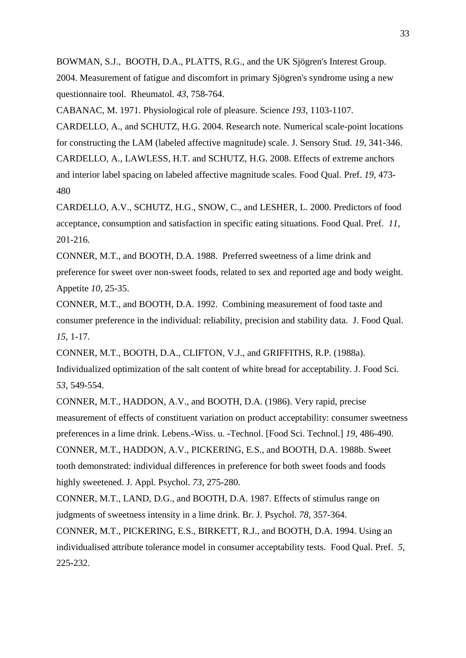[BOWMAN, S.J.](../../cv/CIW.cgi%3fSID=T1@LaM4HkoH37oJG7hE&Func=OneClickSearch&field=AU&val=Bowman+SJ&ut=000221750700013&auloc=1&curr_doc=1/12&Form=FullRecordPage&doc=1/12), [BOOTH, D.A.](../../cv/CIW.cgi%3fSID=T1@LaM4HkoH37oJG7hE&Func=OneClickSearch&field=AU&val=Booth+DA&ut=000221750700013&auloc=2&curr_doc=1/12&Form=FullRecordPage&doc=1/12), [PLATTS, R.G.](../../cv/CIW.cgi%3fSID=T1@LaM4HkoH37oJG7hE&Func=OneClickSearch&field=AU&val=Platts+RG&ut=000221750700013&auloc=3&curr_doc=1/12&Form=FullRecordPage&doc=1/12), and the [UK Sjögren's Interest Group.](../../cv/CIW.cgi%3fSID=T1@LaM4HkoH37oJG7hE&Func=OneClickSearch&field=GP&val=UK+Sjogrens+Interest+Grp&curr_doc=1/12&Form=FullRecordPage&doc=1/12) 2004. Measurement of fatigue and discomfort in primary Sjögren's syndrome using a new questionnaire tool. Rheumatol*. 43*, 758-764.

CABANAC, M. 1971. Physiological role of pleasure. Science *193*, 1103-1107.

CARDELLO, A., and SCHUTZ, H.G. 2004. Research note. Numerical scale-point locations for constructing the LAM (labeled affective magnitude) scale. J. Sensory Stud. *19*, 341-346. CARDELLO, A., LAWLESS, H.T. and SCHUTZ, H.G. 2008. Effects of extreme anchors and interior label spacing on labeled affective magnitude scales. Food Qual. Pref. *19*, 473- 480

CARDELLO, A.V., SCHUTZ, H.G., SNOW, C., and LESHER, L. 2000. Predictors of food acceptance, consumption and satisfaction in specific eating situations. Food Qual. Pref. *11*, 201-216.

CONNER, M.T., and BOOTH, D.A. 1988. Preferred sweetness of a lime drink and preference for sweet over non-sweet foods, related to sex and reported age and body weight. Appetite *10*, 25-35.

CONNER, M.T., and BOOTH, D.A. 1992. Combining measurement of food taste and consumer preference in the individual: reliability, precision and stability data. J. Food Qual. *15*, 1-17.

CONNER, M.T., BOOTH, D.A., CLIFTON, V.J., and GRIFFITHS, R.P. (1988a). Individualized optimization of the salt content of white bread for acceptability. J. Food Sci. *53*, 549-554.

CONNER, M.T., HADDON, A.V., and BOOTH, D.A. (1986). Very rapid, precise measurement of effects of constituent variation on product acceptability: consumer sweetness preferences in a lime drink. Lebens.-Wiss. u. -Technol. [Food Sci. Technol.] *19*, 486-490. CONNER, M.T., HADDON, A.V., PICKERING, E.S., and BOOTH, D.A. 1988b. Sweet tooth demonstrated: individual differences in preference for both sweet foods and foods highly sweetened. J. Appl. Psychol. *73*, 275-280.

CONNER, M.T., LAND, D.G., and BOOTH, D.A. 1987. Effects of stimulus range on judgments of sweetness intensity in a lime drink. Br. J. Psychol. *78*, 357-364.

CONNER, M.T., PICKERING, E.S., BIRKETT, R.J., and BOOTH, D.A. 1994. Using an individualised attribute tolerance model in consumer acceptability tests. Food Qual. Pref. *5*, 225-232.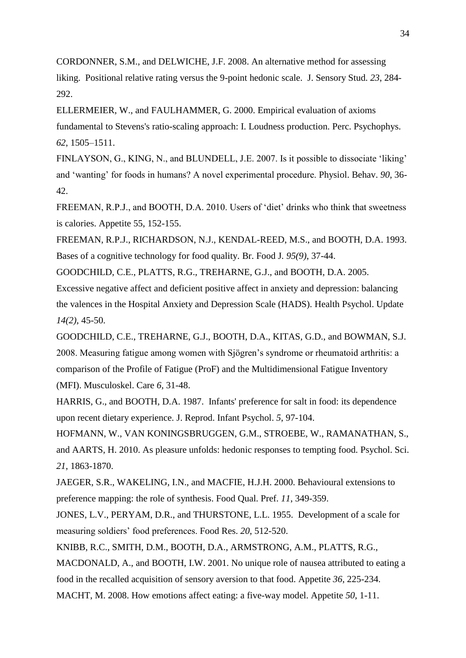CORDONNER, S.M., and DELWICHE, J.F. 2008. An alternative method for assessing

liking. Positional relative rating versus the 9-point hedonic scale. J. Sensory Stud. *23*, 284- 292.

ELLERMEIER, W., and FAULHAMMER, G. 2000. Empirical evaluation of axioms fundamental to Stevens's ratio-scaling approach: I. Loudness production. Perc. Psychophys. *62*, 1505–1511.

FINLAYSON, G., KING, N., and BLUNDELL, J.E. 2007. Is it possible to dissociate 'liking' and 'wanting' for foods in humans? A novel experimental procedure. Physiol. Behav. *90*, 36- 42.

FREEMAN, R.P.J., and BOOTH, D.A. 2010. Users of 'diet' drinks who think that sweetness is calories. Appetite 55, 152-155.

FREEMAN, R.P.J., RICHARDSON, N.J., KENDAL-REED, M.S., and BOOTH, D.A. 1993. Bases of a cognitive technology for food quality. Br. Food J*. 95(9)*, 37-44.

GOODCHILD, C.E., PLATTS, R.G., TREHARNE, G.J., and BOOTH, D.A. 2005.

Excessive negative affect and deficient positive affect in anxiety and depression: balancing the valences in the Hospital Anxiety and Depression Scale (HADS). Health Psychol. Update *14(2)*, 45-50.

GOODCHILD, C.E., TREHARNE, G.J., BOOTH, D.A., KITAS, G.D., and BOWMAN, S.J. 2008. Measuring fatigue among women with Sjögren's syndrome or rheumatoid arthritis: a comparison of the Profile of Fatigue (ProF) and the Multidimensional Fatigue Inventory (MFI). Musculoskel. Care *6*, 31-48.

HARRIS, G., and BOOTH, D.A. 1987. Infants' preference for salt in food: its dependence upon recent dietary experience. J. Reprod. Infant Psychol. *5*, 97-104.

HOFMANN, W., VAN KONINGSBRUGGEN, G.M., STROEBE, W., RAMANATHAN, S., and AARTS, H. 2010. As pleasure unfolds: hedonic responses to tempting food. Psychol. Sci. *21*, 1863-1870.

JAEGER, S.R., WAKELING, I.N., and MACFIE, H.J.H. 2000. Behavioural extensions to preference mapping: the role of synthesis. Food Qual. Pref. *11*, 349-359.

JONES, L.V., PERYAM, D.R., and THURSTONE, L.L. 1955. Development of a scale for measuring soldiers' food preferences. Food Res. *20*, 512-520.

KNIBB, R.C., SMITH, D.M., BOOTH, D.A., ARMSTRONG, A.M., PLATTS, R.G.,

MACDONALD, A., and BOOTH, I.W. 2001. No unique role of nausea attributed to eating a

food in the recalled acquisition of sensory aversion to that food. Appetite *36*, 225-234.

MACHT, M. 2008. How emotions affect eating: a five-way model. Appetite *50*, 1-11.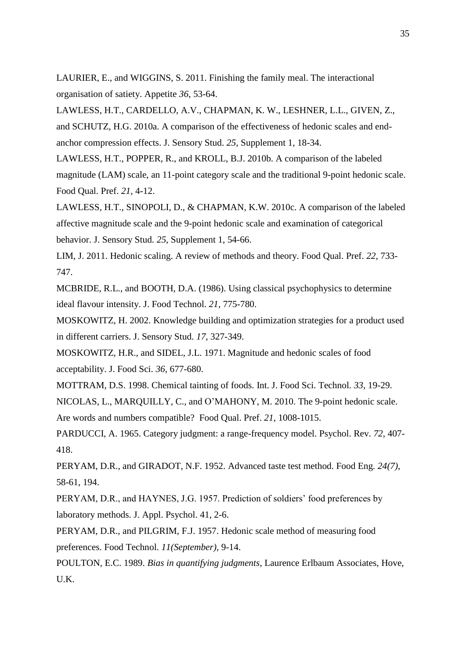LAURIER, E., and WIGGINS, S. 2011. Finishing the family meal. The interactional organisation of satiety. Appetite *36*, 53-64.

LAWLESS, H.T., CARDELLO, A.V., CHAPMAN, K. W., LESHNER, L.L., GIVEN, Z., and SCHUTZ, H.G. 2010a. A comparison of the effectiveness of hedonic scales and endanchor compression effects. J. Sensory Stud. *25*, Supplement 1, 18-34.

LAWLESS, H.T., POPPER, R., and KROLL, B.J. 2010b. A comparison of the labeled magnitude (LAM) scale, an 11-point category scale and the traditional 9-point hedonic scale. Food Qual. Pref. *21*, 4-12.

LAWLESS, H.T., SINOPOLI, D., & CHAPMAN, K.W. 2010c. A comparison of the labeled affective magnitude scale and the 9-point hedonic scale and examination of categorical behavior. J. Sensory Stud. *25*, Supplement 1, 54-66.

LIM, J. 2011. Hedonic scaling. A review of methods and theory. Food Qual. Pref. *22*, 733- 747.

MCBRIDE, R.L., and BOOTH, D.A. (1986). Using classical psychophysics to determine ideal flavour intensity. J. Food Technol. *21*, 775-780.

MOSKOWITZ, H. 2002. Knowledge building and optimization strategies for a product used in different carriers. J. Sensory Stud. *17*, 327-349.

MOSKOWITZ, H.R., and SIDEL, J.L. 1971. Magnitude and hedonic scales of food acceptability. J. Food Sci. *36*, 677-680.

MOTTRAM, D.S. 1998. Chemical tainting of foods. Int. J. Food Sci. Technol*. 33*, 19-29. NICOLAS, L., MARQUILLY, C., and O'MAHONY, M. 2010. The 9-point hedonic scale. Are words and numbers compatible? Food Qual. Pref. *21*, 1008-1015.

PARDUCCI, A. 1965. Category judgment: a range-frequency model. Psychol. Rev. *72*, 407- 418.

PERYAM, D.R., and GIRADOT, N.F. 1952. Advanced taste test method. Food Eng*. 24(7)*, 58-61, 194.

PERYAM, D.R., and HAYNES, J.G. 1957. Prediction of soldiers' food preferences by laboratory methods. J. Appl. Psychol. 41, 2-6.

PERYAM, D.R., and PILGRIM, F.J. 1957. Hedonic scale method of measuring food preferences. Food Technol. *11(September)*, 9-14.

POULTON, E.C. 1989. *Bias in quantifying judgments*, Laurence Erlbaum Associates, Hove, U.K.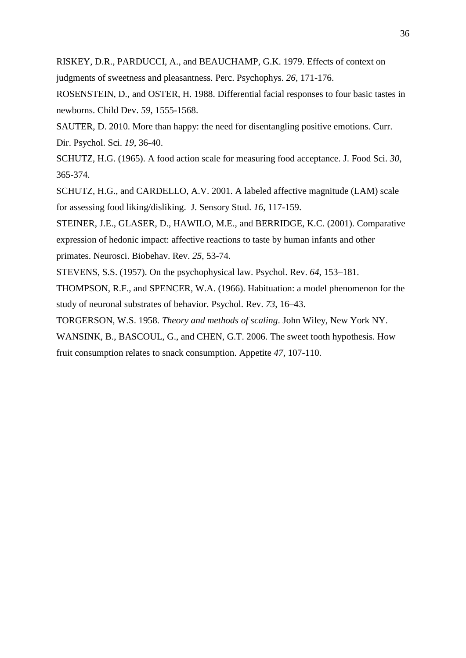RISKEY, D.R., PARDUCCI, A., and BEAUCHAMP, G.K. 1979. Effects of context on judgments of sweetness and pleasantness. Perc. Psychophys. *26*, 171-176.

ROSENSTEIN, D., and OSTER, H. 1988. Differential facial responses to four basic tastes in newborns. Child Dev. *59*, 1555-1568.

SAUTER, D. 2010. More than happy: the need for disentangling positive emotions. Curr. Dir. Psychol. Sci. *19*, 36-40.

SCHUTZ, H.G. (1965). A food action scale for measuring food acceptance. J. Food Sci. *30*, 365-374.

SCHUTZ, H.G., and CARDELLO, A.V. 2001. A labeled affective magnitude (LAM) scale for assessing food liking/disliking. J. Sensory Stud. *16*, 117-159.

STEINER, J.E., GLASER, D., HAWILO, M.E., and BERRIDGE, K.C. (2001). Comparative expression of hedonic impact: affective reactions to taste by human infants and other primates. Neurosci. Biobehav. Rev. *25*, 53-74.

STEVENS, S.S. (1957). On the psychophysical law. Psychol. Rev. *64*, 153–181.

THOMPSON, R.F., and SPENCER, W.A. (1966). Habituation: a model phenomenon for the study of neuronal substrates of behavior. Psychol. Rev. *73*, 16–43.

TORGERSON, W.S. 1958. *Theory and methods of scaling*. John Wiley, New York NY. WANSINK, B., BASCOUL, G., and CHEN, G.T. 2006. The sweet tooth hypothesis. How

fruit consumption relates to snack consumption. Appetite *47*, 107-110.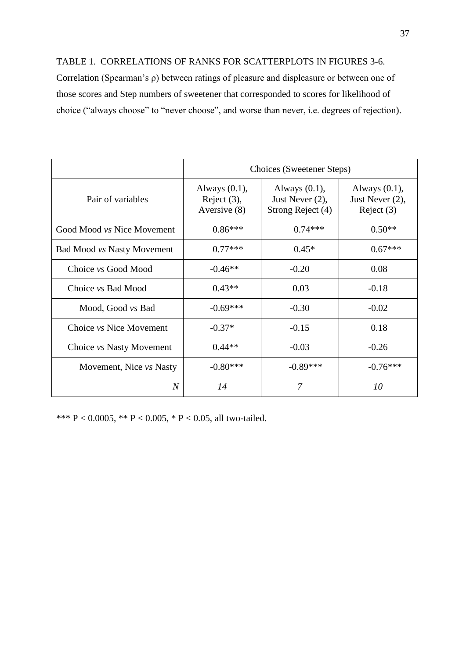## TABLE 1. CORRELATIONS OF RANKS FOR SCATTERPLOTS IN FIGURES 3-6.

Correlation (Spearman's ρ) between ratings of pleasure and displeasure or between one of those scores and Step numbers of sweetener that corresponded to scores for likelihood of choice ("always choose" to "never choose", and worse than never, i.e. degrees of rejection).

|                                   | Choices (Sweetener Steps)                            |                                                          |                                                     |
|-----------------------------------|------------------------------------------------------|----------------------------------------------------------|-----------------------------------------------------|
| Pair of variables                 | Always $(0.1)$ ,<br>Reject $(3)$ ,<br>Aversive $(8)$ | Always $(0.1)$ ,<br>Just Never (2),<br>Strong Reject (4) | Always $(0.1)$ ,<br>Just Never (2),<br>Reject $(3)$ |
| Good Mood <i>vs</i> Nice Movement | $0.86***$                                            | $0.74***$                                                | $0.50**$                                            |
| Bad Mood vs Nasty Movement        | $0.77***$                                            | $0.45*$                                                  | $0.67***$                                           |
| Choice vs Good Mood               | $-0.46**$                                            | $-0.20$                                                  | 0.08                                                |
| Choice vs Bad Mood                | $0.43**$                                             | 0.03                                                     | $-0.18$                                             |
| Mood, Good vs Bad                 | $-0.69***$                                           | $-0.30$                                                  | $-0.02$                                             |
| Choice <i>vs</i> Nice Movement    | $-0.37*$                                             | $-0.15$                                                  | 0.18                                                |
| Choice vs Nasty Movement          | $0.44**$                                             | $-0.03$                                                  | $-0.26$                                             |
| Movement, Nice vs Nasty           | $-0.80***$                                           | $-0.89***$                                               | $-0.76***$                                          |
| $\overline{N}$                    | 14                                                   | 7                                                        | 10                                                  |

\*\*\* P < 0.0005, \*\* P < 0.005, \* P < 0.05, all two-tailed.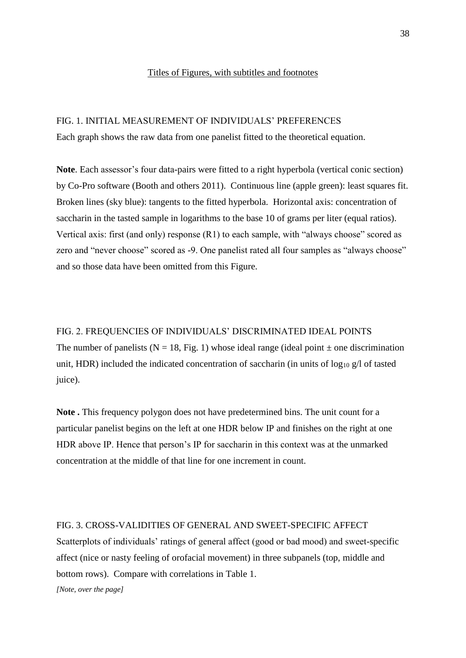## Titles of Figures, with subtitles and footnotes

### FIG. 1. INITIAL MEASUREMENT OF INDIVIDUALS' PREFERENCES

Each graph shows the raw data from one panelist fitted to the theoretical equation.

**Note**. Each assessor's four data-pairs were fitted to a right hyperbola (vertical conic section) by Co-Pro software (Booth and others 2011). Continuous line (apple green): least squares fit. Broken lines (sky blue): tangents to the fitted hyperbola. Horizontal axis: concentration of saccharin in the tasted sample in logarithms to the base 10 of grams per liter (equal ratios). Vertical axis: first (and only) response (R1) to each sample, with "always choose" scored as zero and "never choose" scored as -9. One panelist rated all four samples as "always choose" and so those data have been omitted from this Figure.

FIG. 2. FREQUENCIES OF INDIVIDUALS' DISCRIMINATED IDEAL POINTS The number of panelists ( $N = 18$ , Fig. 1) whose ideal range (ideal point  $\pm$  one discrimination unit, HDR) included the indicated concentration of saccharin (in units of  $\log_{10}$  g/l of tasted juice).

**Note .** This frequency polygon does not have predetermined bins. The unit count for a particular panelist begins on the left at one HDR below IP and finishes on the right at one HDR above IP. Hence that person's IP for saccharin in this context was at the unmarked concentration at the middle of that line for one increment in count.

FIG. 3. CROSS-VALIDITIES OF GENERAL AND SWEET-SPECIFIC AFFECT Scatterplots of individuals' ratings of general affect (good or bad mood) and sweet-specific affect (nice or nasty feeling of orofacial movement) in three subpanels (top, middle and bottom rows). Compare with correlations in Table 1. *[Note, over the page]*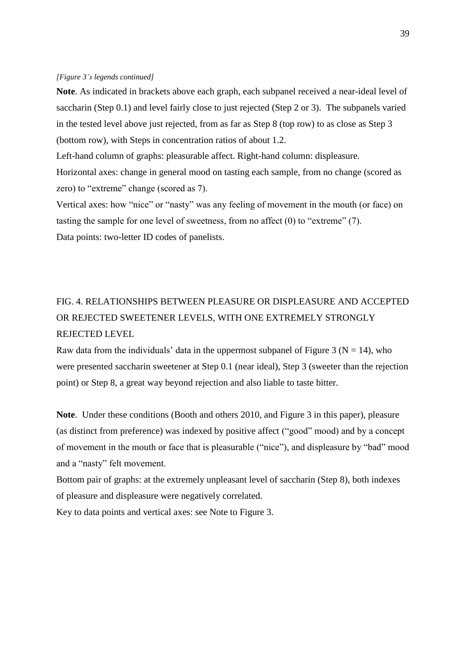#### *[Figure 3's legends continued]*

**Note**. As indicated in brackets above each graph, each subpanel received a near-ideal level of saccharin (Step 0.1) and level fairly close to just rejected (Step 2 or 3). The subpanels varied in the tested level above just rejected, from as far as Step 8 (top row) to as close as Step 3 (bottom row), with Steps in concentration ratios of about 1.2.

Left-hand column of graphs: pleasurable affect. Right-hand column: displeasure.

Horizontal axes: change in general mood on tasting each sample, from no change (scored as zero) to "extreme" change (scored as 7).

Vertical axes: how "nice" or "nasty" was any feeling of movement in the mouth (or face) on tasting the sample for one level of sweetness, from no affect (0) to "extreme" (7). Data points: two-letter ID codes of panelists.

## FIG. 4. RELATIONSHIPS BETWEEN PLEASURE OR DISPLEASURE AND ACCEPTED OR REJECTED SWEETENER LEVELS, WITH ONE EXTREMELY STRONGLY REJECTED LEVEL

Raw data from the individuals' data in the uppermost subpanel of Figure 3 ( $N = 14$ ), who were presented saccharin sweetener at Step 0.1 (near ideal), Step 3 (sweeter than the rejection point) or Step 8, a great way beyond rejection and also liable to taste bitter.

**Note**. Under these conditions (Booth and others 2010, and Figure 3 in this paper), pleasure (as distinct from preference) was indexed by positive affect ("good" mood) and by a concept of movement in the mouth or face that is pleasurable ("nice"), and displeasure by "bad" mood and a "nasty" felt movement.

Bottom pair of graphs: at the extremely unpleasant level of saccharin (Step 8), both indexes of pleasure and displeasure were negatively correlated.

Key to data points and vertical axes: see Note to Figure 3.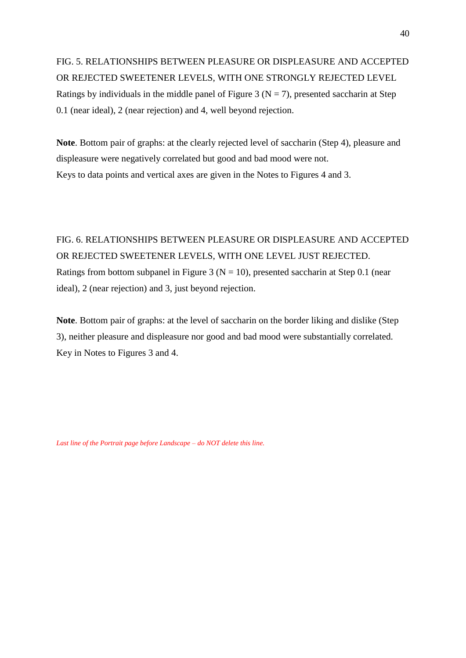FIG. 5. RELATIONSHIPS BETWEEN PLEASURE OR DISPLEASURE AND ACCEPTED OR REJECTED SWEETENER LEVELS, WITH ONE STRONGLY REJECTED LEVEL Ratings by individuals in the middle panel of Figure 3 ( $N = 7$ ), presented saccharin at Step 0.1 (near ideal), 2 (near rejection) and 4, well beyond rejection.

**Note**. Bottom pair of graphs: at the clearly rejected level of saccharin (Step 4), pleasure and displeasure were negatively correlated but good and bad mood were not. Keys to data points and vertical axes are given in the Notes to Figures 4 and 3.

## FIG. 6. RELATIONSHIPS BETWEEN PLEASURE OR DISPLEASURE AND ACCEPTED OR REJECTED SWEETENER LEVELS, WITH ONE LEVEL JUST REJECTED. Ratings from bottom subpanel in Figure 3 ( $N = 10$ ), presented saccharin at Step 0.1 (near ideal), 2 (near rejection) and 3, just beyond rejection.

**Note**. Bottom pair of graphs: at the level of saccharin on the border liking and dislike (Step 3), neither pleasure and displeasure nor good and bad mood were substantially correlated. Key in Notes to Figures 3 and 4.

*Last line of the Portrait page before Landscape – do NOT delete this line.*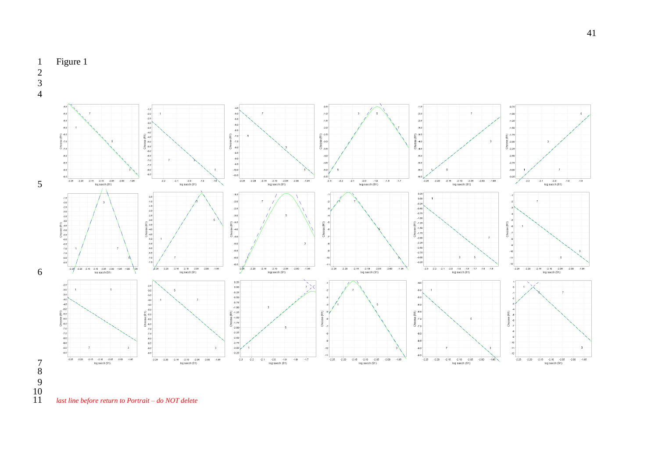



Figure 1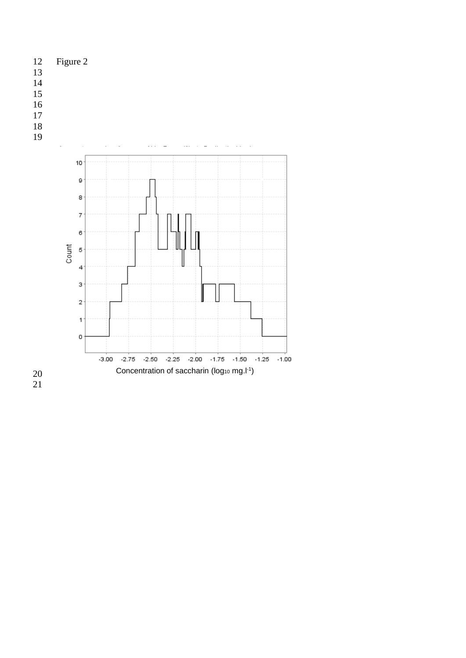

- 
- 
- 
- 
- 
- 

 

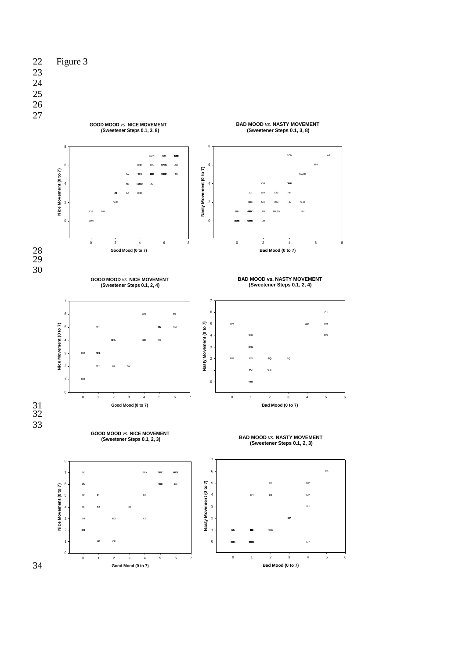

- 23
- 24
- 25
- 26
- 27



**Bad Mood (0 to 7)**



**Good Mood (0 to 7)**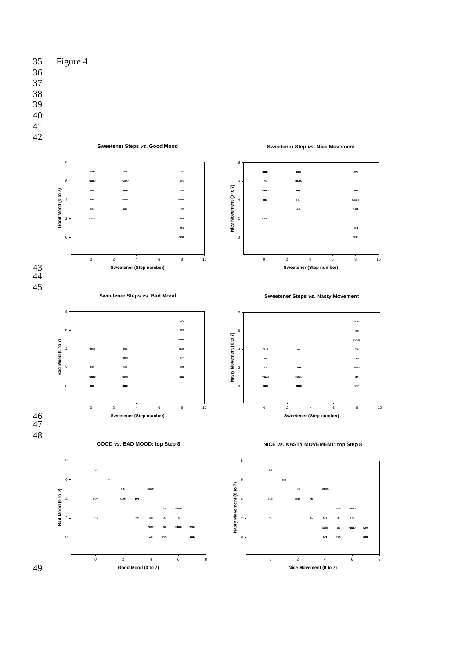- 35 Figure 4 36 37 38 39 40 41
- 42



#### **Sweetener Step** *vs***. Nice Movement**

**Nice Movement (0 to 7)**

49

**Good Mood (0 to 7)**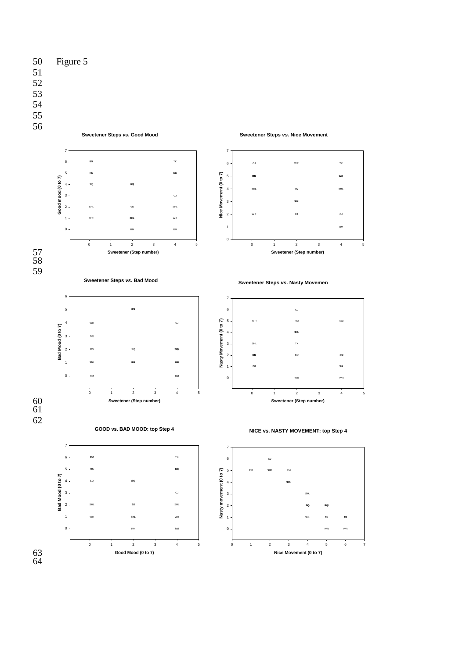- 50 Figure 5
- 51 52
- 
- 53
- 54
- 55
- 56



**Nice Movement (0 to 7)**

**Good Mood (0 to 7)**